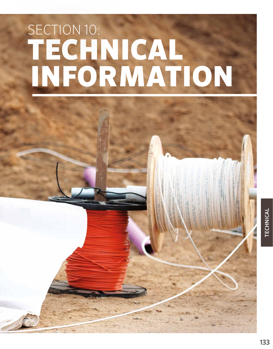# TECHNICAL INFORMATION SECTION 10:



TECHNICAL TECHNICAL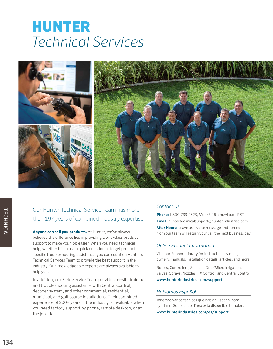## HUNTER *Technical Services*



### Our Hunter Technical Service Team has more than 197 years of combined industry expertise.

**Anyone can sell you products.** At Hunter, we've always believed the difference lies in providing world-class product support to make your job easier. When you need technical help, whether it's to ask a quick question or to get productspecific troubleshooting assistance, you can count on Hunter's Technical Services Team to provide the best support in the industry. Our knowledgeable experts are always available to help you.

In addition, our Field Service Team provides on-site training and troubleshooting assistance with Central Control, decoder system, and other commercial, residential, municipal, and golf course installations. Their combined experience of 200+ years in the industry is invaluable when you need factory support by phone, remote desktop, or at the job site.

#### *Contact Us*

Phone: 1-800-733-2823, Mon–Fri 6 a.m.–4 p.m. PST Email: huntertechnicalsupport@hunterindustries.com After Hours: Leave us a voice message and someone from our team will return your call the next business day

#### *Online Product Information*

Visit our Support Library for instructional videos, owner's manuals, installation details, articles, and more.

Rotors, Controllers, Sensors, Drip/Micro Irrigation, Valves, Sprays, Nozzles, FX Control, and Central Control www.hunterindustries.com/support

#### *Hablamos Español*

Tenemos varios técnicos que hablan Español para ayudarle. Soporte por línea esta disponible también:

www.hunterindustries.com/es/support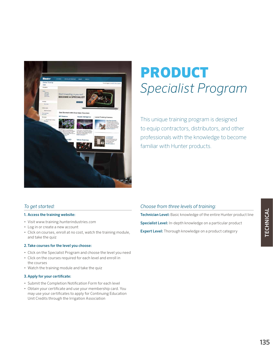

# PRODUCT *Specialist Program*

This unique training program is designed to equip contractors, distributors, and other professionals with the knowledge to become familiar with Hunter products.

#### *To get started:*

#### 1. Access the training website:

- Visit www.training.hunterindustries.com
- Log in or create a new account
- Click on courses, enroll at no cost, watch the training module, and take the quiz

#### 2.Take courses for the level you choose:

- Click on the Specialist Program and choose the level you need
- Click on the courses required for each level and enroll in the courses
- Watch the training module and take the quiz

#### 3.Apply for your certificate:

- Submit the Completion Notification Form for each level
- Obtain your certificate and use your membership card. You may use your certificates to apply for Continuing Education Unit Credits through the Irrigation Association

#### *Choose from three levels of training:*

Technician Level: Basic knowledge of the entire Hunter product line

Specialist Level: In-depth knowledge on a particular product

Expert Level: Thorough knowledge on a product category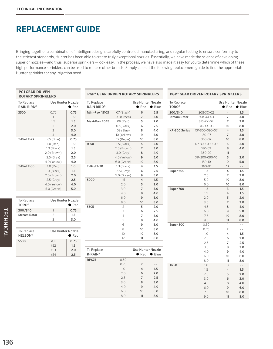Bringing together a combination of intelligent design, carefully controlled manufacturing, and regular testing to ensure conformity to the strictest standards, Hunter has been able to create truly exceptional nozzles. Essentially, we have made the science of developing superior nozzles—and thus, superior sprinklers—look easy. In the process, we have also made it easy for you to determine which of these high performance sprinklers can be used to replace other brands. Simply consult the following replacement guide to find the appropriate Hunter sprinkler for any irrigation need.

| <b>PGJ GEAR DRIVEN</b><br><b>ROTARY SPRINKLERS</b> |                          | <b>PGP® GEAR DRIVEN ROTARY SPRINKLERS</b> |                                 |                |                          |                              | <b>PGP® GEAR DRIVEN ROTARY SPRINKLERS</b> |               |                                           |                |
|----------------------------------------------------|--------------------------|-------------------------------------------|---------------------------------|----------------|--------------------------|------------------------------|-------------------------------------------|---------------|-------------------------------------------|----------------|
| To Replace<br><b>RAIN BIRD®</b>                    | <b>Use Hunter Nozzle</b> | $\bullet$ Red                             | To Replace<br><b>RAIN BIRD®</b> |                | <b>Use Hunter Nozzle</b> | $\bullet$ Red $\bullet$ Blue | To Replace<br><b>TORO®</b>                |               | <b>Use Hunter Nozzle</b><br>$\bullet$ Red | $\bullet$ Blue |
| 3500                                               | 0.75                     | 0.75                                      | <b>Mini-Paw 15103</b>           | 07 (Black)     | 6                        | 2.5                          | 300/340                                   | 308-XX-02     | $\overline{4}$                            | 1.5            |
|                                                    | $\mathbf{1}$             | 1.0                                       |                                 | 09 (Green)     | $\overline{7}$           | 3.0                          | <b>Stream Rotor</b>                       | 308-XX-03     | $\overline{7}$                            | 3.0            |
|                                                    | 1.5                      | 1.5                                       | Maxi-Paw 2045                   | 06 (Red)       | 5                        | 2.0                          |                                           | 316-XX-02     | $\overline{7}$                            | 3.0            |
|                                                    | $\overline{2}$           | 2.0                                       |                                 | 07 (Black)     | 6                        | 2.5                          |                                           | 316-XX-03     | 10                                        | 8.0            |
|                                                    | 3                        | 3.0                                       |                                 | 08 (Blue)      | 8                        | 4.0                          | XP-300 Series                             | XP-300-090-07 | $\overline{4}$                            | 1.5            |
|                                                    | $\overline{4}$           | 4.0                                       |                                 | 10 (Yellow)    | 9                        | 5.0                          |                                           | 180-07        | $\overline{7}$                            | 3.0            |
| T-Bird T-22                                        | .65 (Blue)               | 0.75                                      |                                 | 12 (Beige)     | 10                       | 8.0                          |                                           | 360-07        | 10                                        | 8.0            |
|                                                    | 1.0 (Red)                | 1.0                                       | $R-50$                          | 1.5 (Black)    | 5                        | 2.0                          |                                           | XP-300-090-09 | 5                                         | 2.0            |
|                                                    | $1.3$ (Black)            | 1.5                                       |                                 | 2.0 (Brown)    | $\overline{7}$           | 3.0                          |                                           | 180-09        | 8                                         | 4.0            |
|                                                    | 2.0 (Brown)              | 2.0                                       |                                 | $3.0$ (Gray)   | 8                        | 4.0                          |                                           | 360-09        | 11                                        | $\sim$ $-$     |
|                                                    | $2.5$ (Gray)             | 2.5                                       |                                 | 4.0 (Yellow)   | 9                        | 5.0                          |                                           | XP-300-090-10 | 5                                         | 2.0            |
|                                                    | 4.0 (Yellow)             | 4.0                                       |                                 | 6.0 (Green)    | 10                       | 8.0                          |                                           | $180 - 10$    | 9                                         | 5.0            |
| T-Bird T-30                                        | $1.0$ (Red)              | 1.0                                       | T-Bird T-30                     | $1.3$ (Black)  | 4                        | 1.5                          |                                           | 360-10        | 12                                        | $\sim$ $-$     |
|                                                    | $1.3$ (Black)            | 1.5                                       |                                 | $2.5$ (Gray)   | 6                        | 2.5                          | Super 600                                 | 1.3           | $\overline{\mathbf{4}}$                   | 1.5            |
|                                                    | 2.0 (Brown)              | 2.0                                       |                                 | 5.0 (Green)    | 9                        | 5.0                          |                                           | 2.5           | $\overline{7}$                            | 3.0            |
|                                                    | $2.5$ (Gray)             | 2.5                                       | 5000                            | 1.5            | 4                        | 1.5                          |                                           | 5.0           | 10                                        | 8.0            |
|                                                    | 4.0 (Yellow)             | 4.0                                       |                                 | 2.0            | 5                        | 2.0                          |                                           | 6.0           | 10                                        | 8.0            |
|                                                    | 5.0 (Green)              | 5.0                                       |                                 | 3.0            | $\overline{7}$           | 3.0                          | Super 700                                 | 1.3           | $\overline{3}$                            | 1.5            |
|                                                    |                          |                                           |                                 | 4.0            | 8                        | 4.0                          |                                           | 1.5           | $\overline{4}$                            | 1.5            |
|                                                    |                          |                                           |                                 | 6.0            | 9                        | 5.0                          |                                           | 2.0           | 5                                         | 2.0            |
| To Replace                                         | <b>Use Hunter Nozzle</b> |                                           |                                 | 8.0            | 10                       | 8.0                          |                                           | 3.0           | $\overline{7}$                            | 3.0            |
| <b>TORO®</b>                                       |                          | $\bullet$ Red                             | 5505                            | $\overline{2}$ | 5                        | 2.0                          |                                           | 4.5           | 8                                         | 4.0            |
| 300/340                                            | $\mathbf{1}$             | 0.75                                      |                                 | 3              | 6                        | 2.5                          |                                           | 6.0           | $\overline{9}$                            | 5.0            |
| <b>Stream Rotor</b>                                | $\overline{2}$           | 1.5                                       |                                 | 4              | $\overline{7}$           | 3.0                          |                                           | 7.5           | 10                                        | 8.0            |
|                                                    | 3                        | 3.0                                       |                                 | 5              | 8                        | 4.0                          |                                           | 9.0           | 11                                        | 8.0            |
|                                                    |                          |                                           |                                 | 6              | 9                        | 5.0                          | Super 800                                 | 0.50          | $\mathbf{1}$                              | $\overline{a}$ |
| To Replace                                         | <b>Use Hunter Nozzle</b> |                                           |                                 | 8              | 10                       | 8.0                          |                                           | 0.75          | $\overline{2}$                            | $ -$           |
| <b>NELSON®</b>                                     |                          | $\bullet$ Red                             |                                 | 10             | 10                       | 8.0                          |                                           | 1.0           | $\overline{4}$                            | 1.5            |
|                                                    |                          |                                           |                                 | 12             | 11                       | 8.0                          |                                           | 2.0           | 6                                         | 2.0            |
| 5500                                               | #51                      | 0.75                                      |                                 |                |                          |                              |                                           | 2.5           | $\overline{7}$                            | 2.5            |
|                                                    | #52                      | 1.5                                       |                                 |                |                          |                              |                                           | 3.0           | 8                                         | 3.0            |
|                                                    | #53                      | 2.0                                       | To Replace                      |                | <b>Use Hunter Nozzle</b> |                              |                                           | 4.0           | 9                                         | 4.0            |
|                                                    | #54                      | 2.5                                       | K-RAIN <sup>®</sup>             |                |                          | $\bullet$ Red $\bullet$ Blue |                                           | 6.0           | 10                                        | 6.0            |
|                                                    |                          |                                           | <b>RPS75</b>                    | 0.50           | $\mathbf{1}$             | $\overline{a}$               |                                           | 8.0           | 11                                        | 8.0            |
|                                                    |                          |                                           |                                 | 0.75           | $\overline{2}$           | $-$                          | <b>TR50</b>                               | 1.0           | 3                                         | $-$            |
|                                                    |                          |                                           |                                 | 1.0            | $\overline{4}$           | 1.5                          |                                           | 1.5           | $\overline{4}$                            | 1.5            |
|                                                    |                          |                                           |                                 | 2.0            | 6                        | 2.0                          |                                           | 2.0           | 5                                         | 2.0            |
|                                                    |                          |                                           |                                 | 2.5            | $\overline{7}$           | 2.5                          |                                           | 3.0           | 6                                         | 3.0            |
|                                                    |                          |                                           |                                 | 3.0            | 8                        | 3.0                          |                                           | 4.5           | 8                                         | 4.0            |
|                                                    |                          |                                           |                                 | 4.0            | 9                        | 4.0                          |                                           | 6.0           | 9                                         | 6.0            |
|                                                    |                          |                                           |                                 | 6.0            | 10                       | 6.0                          |                                           | 7.5           | 10                                        | 8.0            |
|                                                    |                          |                                           |                                 | 8.0            | 11                       | 8.0                          |                                           | 9.0           | 11                                        | 8.0            |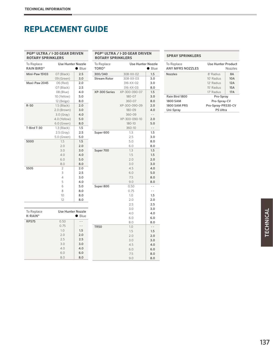#### **PGP® ULTRA / I-20 GEAR DRIVEN ROTARY SPRINKLERS**

| To Replace<br><b>RAIN BIRD®</b> | <b>Use Hunter Nozzle</b><br>Blue |       | To Replace<br><b>TORO®</b> |                         |
|---------------------------------|----------------------------------|-------|----------------------------|-------------------------|
| Mini-Paw 15103                  | 07 (Black)                       | 2.5   | 300/340                    | 308-                    |
|                                 | 09 (Green)                       | 3.0   | <b>Stream Rotor</b>        | 308-                    |
| Maxi-Paw 2045                   | 06 (Red)                         | 2.0   |                            | $316 -$                 |
|                                 | 07 (Black)                       | 2.5   |                            | $316 -$                 |
|                                 | 08 (Blue)                        | 4.0   | XP-300 Series              | XP-300                  |
|                                 | 10 (Yellow)                      | 5.0   |                            | 18 <sup>1</sup>         |
|                                 | 12 (Beige)                       | 8.0   |                            | 36                      |
| $R-50$                          | $1.5$ (Black)                    | 2.0   |                            | XP-300                  |
|                                 | 2.0 (Brown)                      | 3.0   |                            | 18 <sub>1</sub>         |
|                                 | 3.0 (Gray)                       | 4.0   |                            | 36                      |
|                                 | 4.0 (Yellow)                     | 5.0   |                            | $XP-300$                |
|                                 | $6.0$ (Green)                    | 8.0   |                            | 18                      |
| T-Bird T-30                     | $1.3$ (Black)                    | 1.5   |                            | 36                      |
|                                 | $2.5$ (Gray)                     | 2.5   | Super 600                  |                         |
|                                 | 5.0 (Green)                      | 5.0   |                            |                         |
| 5000                            | 1.5                              | 1.5   |                            |                         |
|                                 | 2.0                              | 2.0   |                            | $\epsilon$              |
|                                 | 3.0                              | 3.0   | Super 700                  |                         |
|                                 | 4.0                              | 4.0   |                            |                         |
|                                 | 6.0                              | 5.0   |                            |                         |
|                                 | 8.0                              | 8.0   |                            |                         |
| 5505                            | 2                                | 2.0   |                            |                         |
|                                 | 3                                | 2.5   |                            |                         |
|                                 | $\overline{4}$                   | 3.0   |                            |                         |
|                                 | 5                                | 4.0   |                            | $\ddot{\Omega}$         |
|                                 | 6                                | 5.0   | Super 800                  | 0                       |
|                                 | 8                                | 8.0   |                            | C                       |
|                                 | 10                               | 8.0   |                            |                         |
|                                 | 12                               | 8.0   |                            |                         |
|                                 |                                  |       |                            |                         |
|                                 |                                  |       |                            |                         |
| To Replace                      | <b>Use Hunter Nozzle</b>         |       |                            | $\overline{\mathbf{r}}$ |
| $K-RAIN^*$                      |                                  | Blue  |                            |                         |
| <b>RPS75</b>                    | 0.50                             | $ -$  |                            | ξ                       |
|                                 | 0.75                             | $- -$ | <b>TR50</b>                |                         |
|                                 | 1.0                              | 1.5   |                            |                         |
|                                 | 2.0                              | 2.0   |                            |                         |
|                                 | 2.5                              | 2.5   |                            |                         |
|                                 | 3.0                              | 3.0   |                            |                         |
|                                 | 4.0                              | 4.0   |                            |                         |
|                                 | 6.0                              | 6.0   |                            |                         |

6.0 6.0

8.0 8.0

| <b>PGP® ULTRA / I-20 GEAR DRIVEN</b><br><b>ROTARY SPRINKLERS</b> |                          |                |  |  |  |
|------------------------------------------------------------------|--------------------------|----------------|--|--|--|
| To Replace<br><b>TORO®</b>                                       | <b>Use Hunter Nozzle</b> | Blue           |  |  |  |
| 300/340                                                          | 308-XX-02                | 1.5            |  |  |  |
| <b>Stream Rotor</b>                                              | 308-XX-03                | 3.0            |  |  |  |
|                                                                  | 316-XX-02                | 3.0            |  |  |  |
|                                                                  | 316-XX-03                | 8.0            |  |  |  |
| XP-300 Series                                                    | XP-300-090-07            | 1.5            |  |  |  |
|                                                                  | 180-07                   | 3.0            |  |  |  |
|                                                                  | 360-07                   | 8.0            |  |  |  |
|                                                                  | XP-300-090-09            | 2.0            |  |  |  |
|                                                                  | 180-09                   | 4.0            |  |  |  |
|                                                                  | 360-09                   | $-$            |  |  |  |
|                                                                  | XP-300-090-10            | 2.0            |  |  |  |
|                                                                  | 180-10                   | 5.0            |  |  |  |
|                                                                  | 360-10                   | $ -$           |  |  |  |
| Super 600                                                        | 1.3                      | 1.5            |  |  |  |
|                                                                  | 2.5                      | 3.0            |  |  |  |
|                                                                  | 5.0                      | 8.0            |  |  |  |
|                                                                  | 6.0                      | 8.0            |  |  |  |
| Super 700                                                        | 1.3                      | 1.5            |  |  |  |
|                                                                  | 1.5<br>2.0               | 1.5<br>2.0     |  |  |  |
|                                                                  | 3.0                      | 3.0            |  |  |  |
|                                                                  | 4.5                      | 4.0            |  |  |  |
|                                                                  | 6.0                      | 5.0            |  |  |  |
|                                                                  | 7.5                      | 8.0            |  |  |  |
|                                                                  | 9.0                      | 8.0            |  |  |  |
| Super 800                                                        | 0.50                     | $\sim$ $\sim$  |  |  |  |
|                                                                  | 0.75                     | $\overline{a}$ |  |  |  |
|                                                                  | 1.0                      | 1.5            |  |  |  |
|                                                                  | 2.0                      | 2.0            |  |  |  |
|                                                                  | 2.5                      | 2.5            |  |  |  |
|                                                                  | 3.0                      | 3.0            |  |  |  |
|                                                                  | 4.0                      | 4.0            |  |  |  |
|                                                                  | 6.0                      | 6.0            |  |  |  |
|                                                                  | 8.0                      | 8.0            |  |  |  |
| <b>TR50</b>                                                      | 1.0                      | $ -$           |  |  |  |
|                                                                  | 1.5                      | 1.5            |  |  |  |
|                                                                  | 2.0                      | 2.0            |  |  |  |
|                                                                  | 3.0                      | 3.0            |  |  |  |
|                                                                  | 4.5                      | 4.0            |  |  |  |
|                                                                  | 6.0                      | 6.0            |  |  |  |
|                                                                  | 7.5                      | 8.0            |  |  |  |

9.0 8.0

#### **SPRAY SPRINKLERS**

| To Replace<br><b>ANY MERS NOZZLES</b> | Use Hunter Product | <b>Nozzles</b> |
|---------------------------------------|--------------------|----------------|
| <b>Nozzles</b>                        | 8' Radius          | 8A             |
|                                       | $10'$ Radius       | 10A            |
|                                       | 12' Radius         | 12A            |
|                                       | 15' Radius         | 15A            |
|                                       | 17' Radius         | 17A            |
| Rain Bird 1800                        | Pro-Spray          |                |
| <b>1800 SAM</b>                       | Pro-Spray-CV       |                |
| <b>1800 SAM PRS</b>                   | Pro-Spray-PRS30-CV |                |
| Uni-Spray                             | <b>PS Ultra</b>    |                |
|                                       |                    |                |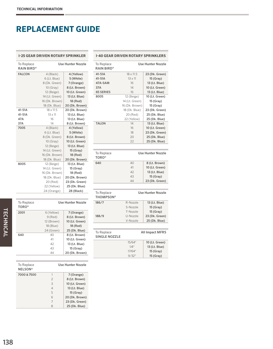|                                        | <b>I-25 GEAR DRIVEN ROTARY SPRINKLER</b>                                               |                                                                                           | $I-40$ GE                                              |
|----------------------------------------|----------------------------------------------------------------------------------------|-------------------------------------------------------------------------------------------|--------------------------------------------------------|
| <b>To Replace</b><br><b>RAIN BIRD®</b> |                                                                                        | <b>Use Hunter Nozzle</b>                                                                  | To Repla<br><b>RAIN BI</b>                             |
| <b>FALCON</b>                          | 4 (Black)<br>6 (Lt. Blue)<br>8 (Dk. Green)<br>10(Gray)<br>12 (Beige)<br>14 (Lt. Green) | 4 (Yellow)<br>5 (White)<br>7 (Orange)<br>8 (Lt. Brown)<br>10 (Lt. Green)<br>13 (Lt. Blue) | 41-51A<br>41-51A<br>47A-SAM<br>37A<br>65 SERIE<br>8005 |
| 41-51A<br>41-51A                       | 16 (Dk. Brown)<br>18 (Dk. Blue)<br>$18 \times 11.5$<br>$13 \times 11$                  | 18 (Red)<br>20 (Dk. Brown)<br>20 (Dk. Brown)<br>13 (Lt. Blue)                             |                                                        |
| 47 A<br>37A<br>7005                    | 16<br>14<br>4 (Black)                                                                  | 13 (Lt. Blue)<br>8 (Lt. Brown)<br>4 (Yellow)                                              | <b>TALON</b>                                           |
|                                        | 6 (Lt. Blue)<br>8 (Dk. Green)<br>10(Gray)                                              | 5 (White)<br>8 (Lt. Brown)<br>10 (Lt. Green)                                              |                                                        |
|                                        | 12 (Beige)<br>14 (Lt. Green)<br>16 (Dk. Brown)<br>18 (Dk. Blue)                        | 13 (Lt. Blue)<br>15(Gray)<br>18 (Red)<br>20 (Dk. Brown)                                   | To Repla<br><b>TORO®</b>                               |
| 8005                                   | 12 (Beige)<br>14 (Lt. Green)<br>16 (Dk. Brown)<br>18 (Dk. Blue)<br>20 (Red)            | 13 (Lt. Blue)<br>15 (Gray)<br>18 (Red)<br>20 (Dk. Brown)<br>23 (Dk. Green)                | 640                                                    |
|                                        | 22 (Yellow)<br>24 (Orange)                                                             | 25 (Dk. Blue)<br>28 (Black)                                                               | To Repla<br><b>THOMP</b>                               |
| To Replace<br><b>TORO®</b>             |                                                                                        | <b>Use Hunter Nozzle</b>                                                                  | 186/7                                                  |
| 2001                                   | 6 (Yellow)<br>$9$ (Red)<br>12 (Brown)                                                  | 7 (Orange)<br>8 (Lt. Brown)<br>10 (Lt. Green)                                             | 188/9                                                  |
|                                        | 18 (Blue)<br>24 (Green)                                                                | 18 (Red)<br>25 (Dk. Blue)                                                                 |                                                        |

640 40 8 (Lt. Brown)

7000 & 7500 1 7 (Orange)

41 10 (Lt. Green) 42 13 (Lt. Blue) 43 15 (Gray)<br>44 20 (Dk. Brow

20 (Dk. Brown)

Use Hunter Nozzle

 8 (Lt. Brown) 10 (Lt. Green) 13 (Lt. Blue) 15 (Gray) 20 (Dk. Brown) 23 (Dk. Green) 25 (Dk. Blue)

|                                                                         | <b>I-40 GEAR DRIVEN ROTARY SPRINKLERS</b> |                          |  |  |  |  |  |
|-------------------------------------------------------------------------|-------------------------------------------|--------------------------|--|--|--|--|--|
| To Replace<br><b>RAIN BIRD®</b>                                         |                                           | <b>Use Hunter Nozzle</b> |  |  |  |  |  |
| 41-51A                                                                  | $18 \times 11.5$                          | 23 (Dk. Green)           |  |  |  |  |  |
| 41-51A                                                                  | $13 \times 11$                            | 15 (Gray)                |  |  |  |  |  |
| 47A-SAM                                                                 | 16                                        | 13 (Lt. Blue)            |  |  |  |  |  |
| 37A                                                                     | 14                                        | 10 (Lt. Green)           |  |  |  |  |  |
| <b>65 SERIES</b>                                                        | 16                                        | 13 (Lt. Blue)            |  |  |  |  |  |
| 8005                                                                    | 12 (Beige)                                | 10 (Lt. Green)           |  |  |  |  |  |
|                                                                         | 14 (Lt. Green)                            | 15 (Gray)                |  |  |  |  |  |
|                                                                         | 16 (Dk. Brown)                            | 15 (Gray)                |  |  |  |  |  |
|                                                                         | 18 (Dk. Blue)                             | 23 (Dk. Green)           |  |  |  |  |  |
|                                                                         | 20 (Red)                                  | 25 (Dk. Blue)            |  |  |  |  |  |
|                                                                         |                                           | 25 (Dk. Blue)            |  |  |  |  |  |
|                                                                         | 22 (Yellow)<br>14                         |                          |  |  |  |  |  |
| <b>TALON</b>                                                            |                                           | 13 (Lt. Blue)            |  |  |  |  |  |
|                                                                         | 16                                        | 10 (Lt. Green)           |  |  |  |  |  |
|                                                                         | 18                                        | 23 (Dk. Green)           |  |  |  |  |  |
|                                                                         | 20                                        | 25 (Dk. Blue)            |  |  |  |  |  |
|                                                                         | 22                                        | 25 (Dk. Blue)            |  |  |  |  |  |
|                                                                         |                                           |                          |  |  |  |  |  |
| To Replace                                                              |                                           | <b>Use Hunter Nozzle</b> |  |  |  |  |  |
|                                                                         |                                           |                          |  |  |  |  |  |
|                                                                         | 40                                        | 8 (Lt. Brown)            |  |  |  |  |  |
|                                                                         | 41                                        | 10 (Lt. Green)           |  |  |  |  |  |
|                                                                         | 42                                        | 13 (Lt. Blue)            |  |  |  |  |  |
|                                                                         | 43                                        |                          |  |  |  |  |  |
|                                                                         | 44                                        | 15 (Gray)                |  |  |  |  |  |
|                                                                         |                                           | 23 (Dk. Green)           |  |  |  |  |  |
|                                                                         |                                           | <b>Use Hunter Nozzle</b> |  |  |  |  |  |
|                                                                         | R-Nozzle                                  | 13 (Lt. Blue)            |  |  |  |  |  |
|                                                                         | S-Nozzle                                  | 15 (Gray)                |  |  |  |  |  |
|                                                                         | T-Nozzle                                  |                          |  |  |  |  |  |
|                                                                         |                                           | 15 (Gray)                |  |  |  |  |  |
|                                                                         | U-Nozzle                                  | 23 (Dk. Green)           |  |  |  |  |  |
| <b>TORO®</b><br>640<br>To Replace<br><b>THOMPSON®</b><br>186/7<br>188/9 | V-Nozzle                                  | 25 (Dk. Blue)            |  |  |  |  |  |
|                                                                         |                                           |                          |  |  |  |  |  |
|                                                                         |                                           | All Impact MFRS          |  |  |  |  |  |
|                                                                         | 15/64"                                    | 10 (Lt. Green)           |  |  |  |  |  |
| To Replace<br><b>SINGLE NOZZLE</b>                                      | $1/4$ "                                   | 13 (Lt. Blue)            |  |  |  |  |  |
|                                                                         | 17/64"                                    | 15 (Gray)                |  |  |  |  |  |

To Replace NELSON®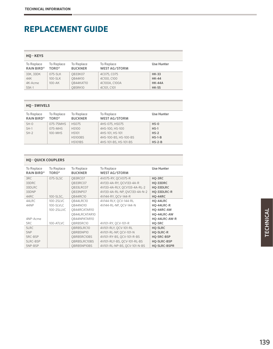| <b>HO-KEYS</b>                  |                            |                              |                                    |               |
|---------------------------------|----------------------------|------------------------------|------------------------------------|---------------|
| To Replace<br><b>RAIN BIRD®</b> | To Replace<br><b>TORO®</b> | To Replace<br><b>BUCKNER</b> | To Replace<br><b>WEST AG/STORM</b> | Use Hunter    |
| 33K, 33DK                       | 075-SLK                    | <b>QB33K07</b>               | 4C075, C075                        | <b>HK-33</b>  |
| 44K                             | 100-SLK                    | <b>OB44K10</b>               | 4C100, C100                        | <b>HK-44</b>  |
| 4K-Acme                         | $100 - AK$                 | OB44KAT10                    | 4C100A, C100A                      | <b>HK-44A</b> |
| $55K-1$                         |                            | OB5RK10                      | 4C101, C101                        | <b>HK-55</b>  |

| <b>HO-SWIVELS</b>               |                            |                              |                                    |            |  |  |  |
|---------------------------------|----------------------------|------------------------------|------------------------------------|------------|--|--|--|
| To Replace<br><b>RAIN BIRD®</b> | To Replace<br><b>TORO®</b> | To Replace<br><b>BUCKNER</b> | To Replace<br><b>WEST AG/STORM</b> | Use Hunter |  |  |  |
| $SH-O$                          | 075-75MHS                  | <b>HS075</b>                 | 4HS-075, HS075                     | $HS-0$     |  |  |  |
| $SH-1$                          | $075-MHS$                  | <b>HS100</b>                 | 4HS-100, HS-100                    | $HS-1$     |  |  |  |
| $SH-2$                          | $100-MHS$                  | <b>HS101</b>                 | 4HS-101, HS-101                    | $HS-2$     |  |  |  |
|                                 |                            | <b>HS100BS</b>               | 4HS-100-BS, HS-100-BS              | $HS-1-B$   |  |  |  |
|                                 |                            | <b>HS101BS</b>               | 4HS-101-BS, HS-101-BS              | $HS-2-B$   |  |  |  |

| <b>HO - OUICK COUPLERS</b> |                                 |                              |                                    |                |  |  |
|----------------------------|---------------------------------|------------------------------|------------------------------------|----------------|--|--|
| To Replace<br>RAIN BIRD®   | To Replace<br>TORO <sup>®</sup> | To Replace<br><b>BUCKNER</b> | To Replace<br><b>WEST AG/STORM</b> | Use Hunter     |  |  |
| 3RC                        | $075-SLSC$                      | OB3RC07                      | 4V075-RY, OCV075-R                 | HO-3RC         |  |  |
| 33DRC                      |                                 | OB33RC07                     | 4V133-4A-RY, OCV133-4A-R           | HO-33DRC       |  |  |
| 33DLRC                     |                                 | OB33LRC07                    | 4V133-4A-RLY, OCV133-4A-RL-2       | HQ-33DLRC      |  |  |
| 33DNP                      |                                 | OB33NP07                     | 4V133-4A-RL-NP, OVC133-4A-N-2      | HQ-33DLRC-R    |  |  |
| 44RC                       | 100-SLSC,                       | OB44RC10                     | 4V144-RY, OCV-144-R                | <b>HO-44RC</b> |  |  |
| 44LRC                      | 100-2SLVC                       | OB44LRC10                    | 4V144-RLY, OCV-144-RL              | HO-44LRC       |  |  |
| 44NP                       | 100-SLVLC                       | <b>OB44NO10</b>              | 4V144-RL-NP, QCV-144-N             | HO-44LRC-R     |  |  |
|                            | 100-2SLLVC                      | OB44RCATAR10                 |                                    | HQ-44RC-AW     |  |  |
|                            |                                 | OB44LRCATAR10                |                                    | HO-44LRC-AW    |  |  |
| 4NP-Arme                   |                                 | OB44NPATAR10                 |                                    | HO-44LRC-AW-R  |  |  |
| 5RC                        | 100-ATLVC                       | OBRB5RC10                    | 4V101-RY, OCV-101-R                | HO-5RC         |  |  |
| 5LRC                       |                                 | OBRB5LRC10                   | 4V101-RLY, OCV-101-RL              | HQ-5LRC        |  |  |
| 5NP                        |                                 | OBRB5NP10                    | 4V101-RL-NP, QCV-101-N             | HQ-5LRC-R      |  |  |
| 5RC-BSP                    |                                 | OBRB5RC10BS                  | 4V101-RY-BS, OCV-101-R-BS          | HO-5RC-BSP     |  |  |
| 5LRC-BSP                   |                                 | OBRB5LRC10BS                 | 4V101-RLY-BS, OCV-101-RL-BS        | HO-5LRC-BSP    |  |  |
| 5NP-BSP                    |                                 | OBRB5NP10BS                  | 4V101-RL-NP-BS, OCV-101-N-BS       | HO-5LRC-BSPR   |  |  |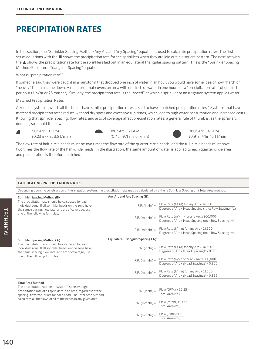### **PRECIPITATION RATES**

In this section, the "Sprinkler Spacing Method–Any Arc and Any Spacing" equation is used to calculate precipitation rates. The first set of equations with the ■ shows the precipitation rate for the sprinklers when they are laid out in a square pattern. The next set with the ▲ shows the precipitation rate for the sprinklers laid out in an equilateral triangular spacing pattern. This is the "Sprinkler Spacing Method–Equilateral Triangular Spacing" equation.

#### What is "precipitation rate"?

If someone said they were caught in a rainstorm that dropped one inch of water in an hour, you would have some idea of how "hard" or "heavily" the rain came down. A rainstorm that covers an area with one inch of water in one hour has a "precipitation rate" of one inch per hour (1 in/hr or 25 mm/hr). Similarly, the precipitation rate is the "speed" at which a sprinkler or an irrigation system applies water.

#### Matched Precipitation Rates

A zone or system in which all the heads have similar precipitation rates is said to have "matched precipitation rates." Systems that have matched precipitation rates reduce wet and dry spots and excessive run times, which lead to high water consumption and increased costs. Knowing that sprinkler spacing, flow rates, and arcs of coverage affect precipitation rates, a general rule of thumb is: as the spray arc doubles, so should the flow.



 $90^\circ$  Arc = 1 GPM  $(0.23 \text{ m}^3/\text{hr}; 3.8 \text{ I/min})$ 





 $360^\circ$  Arc = 4 GPM (0.91 m3 /hr; 15.1 l/min)

The flow rate of half-circle heads must be two times the flow rate of the quarter-circle heads, and the full-circle heads must have two times the flow rate of the half-circle heads. In the illustration, the same amount of water is applied to each quarter circle area and precipitation is therefore matched.

#### **CALCULATING PRECIPITATION RATES**

Depending upon the construction of the irrigation system, the precipitation rate may be calculated by either a Sprinkler Spacing or a Total Area method.

| Sprinkler Spacing Method ( $\blacksquare$ )                                                                                                                                                   | Any Arc and Any Spacing ( $\blacksquare$ ): |                                                                                                             |
|-----------------------------------------------------------------------------------------------------------------------------------------------------------------------------------------------|---------------------------------------------|-------------------------------------------------------------------------------------------------------------|
| The precipitation rate should be calculated for each<br>individual zone. If all sprinkler heads on the zone have<br>the same spacing, flow rate, and arc of coverage, use                     | $P.R. (in/hr) =$                            | Flow Rate (GPM) for any Arc x 34,650<br>Degrees of Arc x Head Spacing (ft.) x Row Spacing (ft.)             |
| one of the following formulas:                                                                                                                                                                | $P.R.$ (mm/hr) =                            | Flow Rate (m <sup>3</sup> /hr) for any Arc x 360,000<br>Degrees of Arc x Head Spacing (m) x Row Spacing (m) |
|                                                                                                                                                                                               | $P.R.$ (mm/hr) =                            | Flow Rate (I/min) for any Arc x 21,600<br>Degrees of Arc x Head Spacing (m) x Row Spacing (m)               |
| Sprinkler Spacing Method (▲)                                                                                                                                                                  | Equilateral Triangular Spacing (▲):         |                                                                                                             |
| The precipitation rate should be calculated for each<br>individual zone. If all sprinkler heads on the zone have<br>the same spacing, flow rate, and arc of coverage, use                     | $P.R. (in/hr) =$                            | Flow Rate (GPM) for any Arc x 34,650<br>Degrees of Arc x (Head Spacing) <sup>2</sup> x 0.866                |
| one of the following formulas:                                                                                                                                                                | $P.R.$ (mm/hr) =                            | Flow Rate ( $m^3/hr$ ) for any Arc x 360,000<br>Degrees of Arc x (Head Spacing) <sup>2</sup> x 0.866        |
|                                                                                                                                                                                               | $P.R.$ (mm/hr) =                            | Flow Rate (I/min) for any Arc x 21,600<br>Degrees of Arc x (Head Spacing) <sup>2</sup> x 0.866              |
| <b>Total Area Method</b>                                                                                                                                                                      |                                             |                                                                                                             |
| The precipitation rate for a "system" is the average<br>precipitation rate of all sprinklers in an area, regardless of the<br>spacing, flow rate, or arc for each head. The Total Area Method | $P.R. (in/hr) =$                            | Flow (GPM) x 96.25<br>Total Area (ft.)                                                                      |
| calculates all the flows of all of the heads in any given area.                                                                                                                               | $P.R.$ (mm/hr) =                            | Flow $(m^3/hr) \times 1,000$<br>Total Area (m <sup>2</sup> )                                                |
|                                                                                                                                                                                               | $P.R.$ (mm/hr) =                            | Flow $(l/min) \times 60$<br>Total Area (m <sup>2</sup> )                                                    |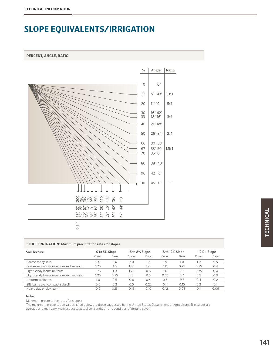### **SLOPE EQUIVALENTS/IRRIGATION**

#### **PERCENT, ANGLE, RATIO**



#### **SLOPE IRRIGATION:** Maximum precipitation rates for slopes

| Soil Texture                             | 0 to 5% Slope |      | 5 to 8% Slope |      | 8 to 12% Slope |      | $12% + Slope$ |      |
|------------------------------------------|---------------|------|---------------|------|----------------|------|---------------|------|
|                                          | Cover         | Bare | Cover         | Bare | Cover          | Bare | Cover         | Bare |
| Coarse sandy soils                       | 2.0           | 2.0  | 2.0           | 1.5  | 1.5            | 1.0  | 1.0           | 0.5  |
| Coarse sandy soils over compact subsoils | 1.75          | 1.5  | 1.25          | 1.0  | 1.0            | 0.75 | 0.75          | 0.4  |
| Light sandy loams uniform                | 1.75          | 1.0  | 1.25          | 0.8  | 1.0            | 0.6  | 0.75          | 0.4  |
| Light sandy loams over compact subsoils  | 1.25          | 0.75 | 1.0           | 0.5  | 0.75           | 0.4  | 0.5           | 0.3  |
| Uniform silt loams                       | 1.0           | 0.5  | 0.8           | 0.4  | 0.6            | 0.3  | 0.4           | 0.2  |
| Silt loams over compact subsoil          | 0.6           | 0.3  | 0.5           | 0.25 | 0.4            | 0.15 | 0.3           | 0.1  |
| Heavy clay or clay loam                  | 0.2           | 0.15 | 0.15          | 0.10 | 0.12           | 0.08 | 0.1           | 0.06 |

#### Notes:

Maximum precipitation rates for slopes:

The maximum precipitation values listed below are those suggested by the United States Department of Agriculture. The values are average and may vary with respect to actual soil condition and condition of ground cover.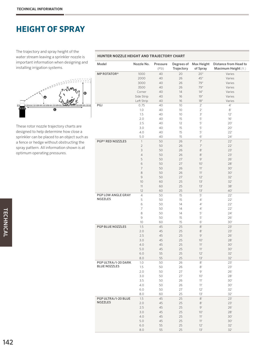### **HEIGHT OF SPRAY**

The trajectory and spray height of the water stream leaving a sprinkler nozzle is important information when designing and installing irrigation systems.



These rotor nozzle trajectory charts are designed to help determine how close a sprinkler can be placed to an object such as a fence or hedge without obstructing the spray pattern. All information shown is at optimum operating pressures.

| Model                   | Nozzle No.     | Pressure<br>(PSI) | Degrees of<br>Trajectory | Max Height<br>of Spray | Distance from Head to<br>Maximum Height (ft.) |
|-------------------------|----------------|-------------------|--------------------------|------------------------|-----------------------------------------------|
| <b>MP ROTATOR®</b>      | 1000           | 40                | 20                       | 20 <sup>''</sup>       | Varies                                        |
|                         | 2000           | 40                | 26                       | 45"                    | Varies                                        |
|                         | 3000           | 40                | 26                       | 79"                    | Varies                                        |
|                         | 3500           | 40                | 26                       | 79"                    | Varies                                        |
|                         | Corner         | 40                | 14                       | 14"                    | Varies                                        |
|                         | Side Strip     | 40                | 16                       | 19"                    | Varies                                        |
|                         | Left Strip     | 40                | 16                       | 18"                    | Varies                                        |
| PGJ                     | 0.75           | 40                | 10                       | $2^{\circ}$            | $4^{\circ}$                                   |
|                         | 1.0            | 40                | 10                       | $2^{\circ}$            | $8^{\circ}$                                   |
|                         | 1.5            | 40                | 10                       | 3'                     | 12'                                           |
|                         | 2.0            | 40                | 15                       | $5'$                   | 16'                                           |
|                         | 2.5            | 40                | 12                       | 5'                     | 20'                                           |
|                         | 3.0            | 40                | 15                       | 5'                     | 20'                                           |
|                         | 4.0            | 40                | 15                       | 5'                     | 22'                                           |
|                         | 5.0            | 40                | 15                       | 6'                     | 24'                                           |
| <b>PGP® RED NOZZLES</b> | $\mathbf{1}$   | 50                | 26                       | 7'                     | 22'                                           |
|                         | $\overline{2}$ | 50                | 26                       | 7'                     | 22'                                           |
|                         | 3              | 50                | 26                       | $8^{\circ}$            | 23'                                           |
|                         | $\overline{4}$ | 50                | 26                       | $8^{\circ}$            | 23'                                           |
|                         | 5              | 50                | 27                       | 9'                     | 26'                                           |
|                         | 6              | 50                | 27                       | 10'                    | 28'                                           |
|                         | 7              | 50                | 26                       | 11'                    | 30'                                           |
|                         | 8              | 50                | 26                       | 11'                    | 30'                                           |
|                         | 9              | 50                | 27                       | 12'                    | 32'                                           |
|                         | 10             | 60                | 25                       | 13'                    | 32'                                           |
|                         | 11             | 60                | 25                       | 13'                    | 38'                                           |
|                         | 12             | 60                | 25                       | 13'                    | 40'                                           |
| PGP LOW ANGLE GRAY      | 4              | 50                | 15                       | 5'                     | 22'                                           |
| <b>NOZZLES</b>          | 5              | 50                | 15                       | $4^{\circ}$            | 22'                                           |
|                         | 6              | 50                | 14                       | $4^{\circ}$            | 22'                                           |
|                         | 7              | 50                | 14                       | $4^{\circ}$            | 22'                                           |
|                         | 8              | 50                | 14                       | 5'                     | 24'                                           |
|                         | 9              | 50                | 15                       | 5'                     | 26'                                           |
|                         | 10             | 60                | 15                       | 6'                     | 30'                                           |
| PGP BLUE NOZZLES        | 1.5            | 45                | 25                       | $8^{\circ}$            | 23'                                           |
|                         | 2.0            | 45                | 25                       | $8^{\circ}$            | 23'                                           |
|                         | 2.5            | 45                | 25                       | 9'                     | 26'                                           |
|                         | 3.0            | 45                | 25                       | 10'                    | 28'                                           |
|                         | 4.0            | 45                | 25                       | 11'                    | 30'                                           |
|                         | 5.0            | 45                | 25                       | 11'                    | 30'                                           |
|                         | 6.0            | 55                | 25                       | 12'                    | 32'                                           |
|                         | 8.0            | 55                | $25\,$                   | $13'$                  | 32'                                           |
| PGP ULTRA/I-20 DARK     | 1.0            | 50                | 26                       | $8^\circ$              | 23'                                           |
| <b>BLUE NOZZLES</b>     | 1.5            | 50                | 26                       | $8^\circ$              | 23'                                           |
|                         | 2.0            | 50                | 27                       | $\Theta$               | 26'                                           |
|                         | 3.0            | 50                | 27                       | 10'                    | 28'                                           |
|                         | 3.5            | 50                | 26                       | 11'                    | 30'                                           |
|                         | 4.0            | 50                | 26                       | 11'                    | 30'                                           |
|                         | $6.0$          | 50                | 27                       | 12'                    | 32'                                           |
|                         | 8.0            | 60                | 25                       | 13'                    | 32'                                           |
| PGP ULTRA/I-20 BLUE     | 1.5            | 45                | 25                       | $8^{\circ}$            | 23'                                           |
| <b>NOZZLES</b>          | 2.0            | 45                | 25                       | $8^{\circ}$            | 23'                                           |
|                         | 2.5            | 45                | 25                       | 9'                     | 26'                                           |
|                         | 3.0            | 45                | 25                       | 10'                    | 28'                                           |
|                         | 4.0            | 45                | 25                       | 11'                    | 30'                                           |
|                         | 5.0            | 45                | 25                       | 11'                    | 30'                                           |
|                         | $6.0$          | 55                | 25                       | 12'                    | 32'                                           |
|                         | 8.0            | 55                | 25                       | 13'                    | 32'                                           |
|                         |                |                   |                          |                        |                                               |

#### **HUNTER NOZZLE HEIGHT AND TRAJECTORY CHART**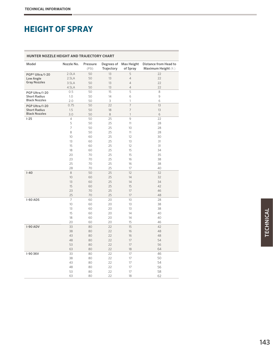### **HEIGHT OF SPRAY**

| <b>HUNTER NOZZLE HEIGHT AND TRAJECTORY CHART</b><br>Degrees of Max Height |                                  |                      |                      |                                                     |                                               |  |  |  |  |  |  |  |  |
|---------------------------------------------------------------------------|----------------------------------|----------------------|----------------------|-----------------------------------------------------|-----------------------------------------------|--|--|--|--|--|--|--|--|
| Model                                                                     | Nozzle No.                       | Pressure<br>(PSI)    | Trajectory           | of Spray                                            | Distance from Head to<br>Maximum Height (ft.) |  |  |  |  |  |  |  |  |
| PGP® Ultra/I-20<br>Low Angle<br><b>Gray Nozzles</b>                       | 2.0LA<br>2.5LA<br>3.5LA<br>4.5LA | 50<br>50<br>50<br>50 | 13<br>13<br>13<br>13 | 5<br>$\sqrt{4}$<br>$\overline{4}$<br>$\overline{4}$ | 22<br>22<br>22<br>22                          |  |  |  |  |  |  |  |  |
| PGP Ultra/I-20                                                            | 0.5                              | 50                   | 15                   | 5                                                   | 8                                             |  |  |  |  |  |  |  |  |
| <b>Short Radius</b>                                                       | 1.0                              | 50                   | 14                   | 6                                                   | 9                                             |  |  |  |  |  |  |  |  |
| <b>Black Nozzles</b>                                                      | 2.0                              | 50                   | 3                    | 1                                                   | 6                                             |  |  |  |  |  |  |  |  |
| PGP Ultra/I-20                                                            | 0.75                             | 50                   | 22                   | $\overline{7}$                                      | 13                                            |  |  |  |  |  |  |  |  |
| <b>Short Radius</b>                                                       | 1.5                              | 50                   | 18                   | $\overline{7}$                                      | 13                                            |  |  |  |  |  |  |  |  |
| <b>Black Nozzles</b>                                                      | 3.0                              | 50                   | 8                    | $\mathbf{1}$                                        | 6                                             |  |  |  |  |  |  |  |  |
| $1 - 25$                                                                  | $\overline{4}$                   | 50                   | 25                   | 9                                                   | 22                                            |  |  |  |  |  |  |  |  |
|                                                                           | 5                                | 50                   | 25                   | 11                                                  | 28                                            |  |  |  |  |  |  |  |  |
|                                                                           | $\overline{7}$                   | 50                   | 25                   | 10                                                  | 28                                            |  |  |  |  |  |  |  |  |
|                                                                           | 8                                | 50                   | 25                   | 11                                                  | 28                                            |  |  |  |  |  |  |  |  |
|                                                                           | 10                               | 60                   | 25                   | 12                                                  | 30                                            |  |  |  |  |  |  |  |  |
|                                                                           | 13                               | 60                   | 25                   | 13                                                  | 31                                            |  |  |  |  |  |  |  |  |
|                                                                           | 15                               | 60                   | 25                   | 12                                                  | 31                                            |  |  |  |  |  |  |  |  |
|                                                                           | 18                               | 60                   | 25                   | 15                                                  | 34                                            |  |  |  |  |  |  |  |  |
|                                                                           | 20                               | 70                   | 25                   | 15                                                  | 35                                            |  |  |  |  |  |  |  |  |
|                                                                           | 23                               | 70                   | 25                   | 16                                                  | 38                                            |  |  |  |  |  |  |  |  |
|                                                                           | 25                               | 70                   | 25                   | 16                                                  | 38                                            |  |  |  |  |  |  |  |  |
|                                                                           | 28                               | 70                   | 25                   | 17                                                  | 40                                            |  |  |  |  |  |  |  |  |
| $I-40$                                                                    | 8                                | 50                   | 25                   | 12                                                  | 32                                            |  |  |  |  |  |  |  |  |
|                                                                           | 10                               | 60                   | 25                   | 14                                                  | 32                                            |  |  |  |  |  |  |  |  |
|                                                                           | 13                               | 60                   | 25                   | 14                                                  | 34                                            |  |  |  |  |  |  |  |  |
|                                                                           | 15                               | 60                   | 25                   | 15                                                  | 42                                            |  |  |  |  |  |  |  |  |
|                                                                           | 23                               | 70                   | 25                   | 17                                                  | 46                                            |  |  |  |  |  |  |  |  |
|                                                                           | 25                               | 70                   | 25                   | 17                                                  | 48                                            |  |  |  |  |  |  |  |  |
| $I-60$ ADS                                                                | $\overline{7}$                   | 60                   | 20                   | 10 <sup>°</sup>                                     | 28                                            |  |  |  |  |  |  |  |  |
|                                                                           | 10                               | 60                   | 20                   | 13                                                  | 38                                            |  |  |  |  |  |  |  |  |
|                                                                           | 13                               | 60                   | 20                   | 13                                                  | 38                                            |  |  |  |  |  |  |  |  |
|                                                                           | 15                               | 60                   | 20                   | 14                                                  | 40                                            |  |  |  |  |  |  |  |  |
|                                                                           | 18                               | 60                   | 20                   | 14                                                  | 40                                            |  |  |  |  |  |  |  |  |
|                                                                           | 20                               | 60                   | 20                   | 15                                                  | 46                                            |  |  |  |  |  |  |  |  |
| I-90 ADV                                                                  | 33                               | 80                   | 22                   | 15                                                  | 42                                            |  |  |  |  |  |  |  |  |
|                                                                           | 38                               | 80                   | 22                   | 16                                                  | 48                                            |  |  |  |  |  |  |  |  |
|                                                                           | 43                               | 80                   | 22                   | 16                                                  | 48                                            |  |  |  |  |  |  |  |  |
|                                                                           | 48                               | 80                   | 22                   | 17                                                  | 54                                            |  |  |  |  |  |  |  |  |
|                                                                           | 53                               | 80                   | 22                   | 17                                                  | 56                                            |  |  |  |  |  |  |  |  |
|                                                                           | 63                               | 80                   | 22                   | 18                                                  | 64                                            |  |  |  |  |  |  |  |  |
| I-90 36V                                                                  | 33                               | 80                   | 22                   | 17                                                  | 46                                            |  |  |  |  |  |  |  |  |
|                                                                           | 38                               | 80                   | 22                   | 17                                                  | 50                                            |  |  |  |  |  |  |  |  |
|                                                                           | 43                               | 80                   | 22                   | 17                                                  | 54                                            |  |  |  |  |  |  |  |  |
|                                                                           | 48                               | 80                   | 22                   | 17                                                  | 56                                            |  |  |  |  |  |  |  |  |
|                                                                           | 53                               | 80                   | 22                   | 17                                                  | 58                                            |  |  |  |  |  |  |  |  |
|                                                                           | 63                               | 80                   | 22                   | 18                                                  | 62                                            |  |  |  |  |  |  |  |  |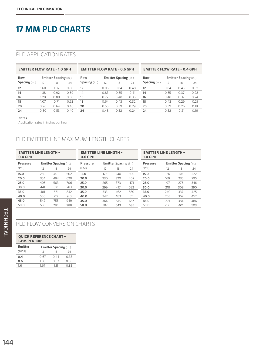### **17 MM PLD CHARTS**

#### PLD APPLICATION RATES

| <b>EMITTER FLOW RATE - 1.0 GPH</b> |      |                              |      | <b>EMITTER FLOW RATE - 0.6 GPH</b> |      |                       |      | <b>EMITTER FLOW RATE - 0.4 GPH</b> |      |                              |      |
|------------------------------------|------|------------------------------|------|------------------------------------|------|-----------------------|------|------------------------------------|------|------------------------------|------|
| Row                                |      | <b>Emitter Spacing (in.)</b> |      | Row                                |      | Emitter Spacing (in.) |      | Row                                |      | <b>Emitter Spacing (in.)</b> |      |
| Spacing (in.)                      | 12   | 18                           | 24   | <b>Spacing</b> (in.)               | 12   | 18                    | 24   | <b>Spacing</b> (in.)               | 12   | 18                           | 24   |
| 12                                 | 1.60 | 1.07                         | 0.80 | 12                                 | 0.96 | 0.64                  | 0.48 | 12                                 | 0.64 | 0.43                         | 0.32 |
| 14                                 | 1.38 | 0.92                         | 0.69 | 14                                 | 0.83 | 0.55                  | 0.41 | 14                                 | 0.55 | 0.37                         | 0.28 |
| 16                                 | 1.20 | 0.80                         | 0.60 | 16                                 | 0.72 | 0.48                  | 0.36 | 16                                 | 0.48 | 0.32                         | 0.24 |
| 18                                 | 1.07 | 0.71                         | 0.53 | 18                                 | 0.64 | 0.43                  | 0.32 | 18                                 | 0.43 | 0.29                         | 0.21 |
| 20                                 | 0.96 | 0.64                         | 0.48 | 20                                 | 0.58 | 0.39                  | 0.29 | 20                                 | 0.39 | 0.26                         | 0.19 |
| 24                                 | 0.80 | 0.53                         | 0.40 | 24                                 | 0.48 | 0.32                  | 0.24 | 24                                 | 0.32 | 0.21                         | 0.16 |
|                                    |      |                              |      |                                    |      |                       |      |                                    |      |                              |      |

#### Notes

Application rates in inches per hour

#### PLD EMITTER LINE MAXIMUM LENGTH CHARTS

| <b>EMITTER LINE LENGTH -</b><br>$0.4$ GPH |     |                       |     | <b>EMITTER LINE LENGTH -</b><br>$0.6$ GPH |     |                              |     | <b>EMITTER LINE LENGTH -</b><br><b>1.0 GPH</b> |     |                              |     |
|-------------------------------------------|-----|-----------------------|-----|-------------------------------------------|-----|------------------------------|-----|------------------------------------------------|-----|------------------------------|-----|
| Pressure                                  |     | Emitter Spacing (in.) |     | Pressure                                  |     | <b>Emitter Spacing (in.)</b> |     | Pressure                                       |     | <b>Emitter Spacing (in.)</b> |     |
| (PSI)                                     | 12  | 18                    | 24  | (PSI)                                     | 12  | 18                           | 24  | (PSI)                                          | 12  | 18                           | 24  |
| 15.0                                      | 289 | 401                   | 502 | 15.0                                      | 173 | 240                          | 300 | 15.0                                           | 126 | 176                          | 222 |
| 20.0                                      | 354 | 494                   | 620 | 20.0                                      | 230 | 320                          | 402 | 20.0                                           | 169 | 235                          | 295 |
| 25.0                                      | 405 | 563                   | 706 | 25.0                                      | 265 | 373                          | 471 | 25.0                                           | 197 | 276                          | 346 |
| 30.0                                      | 441 | 621                   | 783 | 30.0                                      | 299 | 417                          | 523 | 30.0                                           | 218 | 308                          | 390 |
| 35.0                                      | 481 | 671                   | 842 | 35.0                                      | 333 | 462                          | 580 | 35.0                                           | 240 | 337                          | 425 |
| 40.0                                      | 508 | 719                   | 910 | 40.0                                      | 342 | 483                          | 611 | 40.0                                           | 263 | 362                          | 452 |
| 45.0                                      | 542 | 755                   | 949 | 45.0                                      | 364 | 518                          | 657 | 45.0                                           | 271 | 384                          | 486 |
| 50.0                                      | 558 | 784                   | 988 | 50.0                                      | 387 | 543                          | 685 | 50.0                                           | 288 | 401                          | 503 |

#### PLD FLOW CONVERSION CHARTS

#### **QUICK REFERENCE CHART – GPM PER 100'**

| Emitter |      | <b>Emitter Spacing (in.)</b> |      |
|---------|------|------------------------------|------|
| (GPH)   | 12   | 18                           | 24   |
| 0.4     | 0.67 | 0.44                         | O 33 |
| 0.6     | 1.00 | 0.67                         | O 50 |
| 1.0     | 167  | 1 1 1                        | 0.83 |
|         |      |                              |      |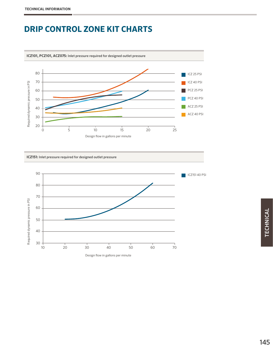### **DRIP CONTROL ZONE KIT CHARTS**



#### **ICZ151:** Inlet pressure required for designed outlet pressure

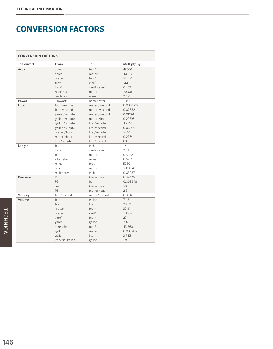### **CONVERSION FACTORS**

|  | <b>CONVERSION FACTORS</b> |
|--|---------------------------|
|  |                           |

| <b>To Convert</b> | From                       | To                         | <b>Multiply By</b> |
|-------------------|----------------------------|----------------------------|--------------------|
| Area              | acres                      | foot <sup>2</sup>          | 43560              |
|                   | acres                      | meter <sup>2</sup>         | 4046.8             |
|                   | meter <sup>2</sup>         | foot <sup>2</sup>          | 10.764             |
|                   | $f$ oot <sup>2</sup>       | inch <sup>2</sup>          | 144                |
|                   | inch <sup>2</sup>          | centimeter <sup>2</sup>    | 6.452              |
|                   | hectares                   | meter <sup>2</sup>         | 10000              |
|                   | hectares                   | acres                      | 2.471              |
| Power             | kilowatts                  | horsepower                 | 1.341              |
| Flow              | foot <sup>3</sup> /minute  | meter <sup>3</sup> /second | 0.0004719          |
|                   | foot <sup>3</sup> /second  | meter <sup>3</sup> /second | 0.02832            |
|                   | yards <sup>3</sup> /minute | meter <sup>3</sup> /second | 0.01274            |
|                   | gallon/minute              | meter <sup>3</sup> /hour   | 0.22716            |
|                   | gallon/minute              | liter/minute               | 3.7854             |
|                   | gallon/minute              | liter/second               | 0.06309            |
|                   | meter <sup>3</sup> /hour   | liter/minute               | 16.645             |
|                   | meter <sup>3</sup> /hour   | liter/second               | 0.2774             |
|                   | liter/minute               | liter/second               | 60                 |
| Length            | foot                       | inch                       | 12                 |
|                   | inch                       | centimeter                 | 2.54               |
|                   | foot                       | meter                      | 0.30481            |
|                   | kilometer                  | miles                      | 0.6214             |
|                   | miles                      | foot                       | 5280               |
|                   | miles                      | meter                      | 1609.34            |
|                   | millimeter                 | inch                       | 0.03937            |
| Pressure          | PSI                        | kilopascals                | 6.89476            |
|                   | PSI                        | bar                        | 0.068948           |
|                   | bar                        | kilopascals                | 100                |
|                   | PSI                        | feet of head               | 2.31               |
| Velocity          | feet/second                | meter/second               | 0.3048             |
| Volume            | feet <sup>3</sup>          | gallon                     | 7.481              |
|                   | feet <sup>3</sup>          | liter                      | 28.32              |
|                   | meter <sup>3</sup>         | feet <sup>3</sup>          | 35.31              |
|                   | meter <sup>3</sup>         | yard <sup>3</sup>          | 1.3087             |
|                   | $\text{vard}^3$            | feet <sup>3</sup>          | 27                 |
|                   | yard <sup>3</sup>          | gallon                     | 202                |
|                   | acres/feet                 | foot <sup>3</sup>          | 43,560             |
|                   | gallon                     | meter <sup>3</sup>         | 0.003785           |
|                   | gallon                     | liter                      | 3.785              |
|                   | imperial gallon            | gallon                     | 1.833              |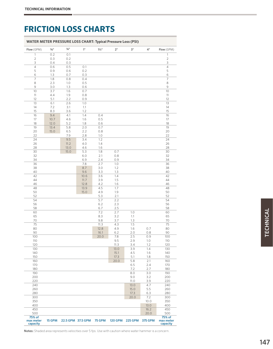| Flow (GPM)                      | $5/8$ "    | $\frac{3}{4}$ " | 1"                | $1\frac{1}{2}$ " | 2"             | 3"             | 4"             | Flow (GPM)                      |
|---------------------------------|------------|-----------------|-------------------|------------------|----------------|----------------|----------------|---------------------------------|
| $\mathbf{1}$                    | 0.2        | 0.1             |                   |                  |                |                |                | $\mathbf{1}$                    |
| $\mathbf{2}$                    | 0.3        | 0.2             |                   |                  |                |                |                | $\mathbf{2}$                    |
| 3                               | 0.4        | 0.3             |                   |                  |                |                |                | $\overline{\mathbf{3}}$         |
| $\sqrt{4}$                      | 0.6        | 0.5             | 0.1               |                  |                |                |                | $\overline{4}$                  |
| 5<br>6                          | 0.9<br>1.3 | 0.6<br>0.7      | 0.2<br>0.3        |                  |                |                |                | 5<br>6                          |
| 7                               | 1.8        | 0.8             | 0.4               |                  |                |                |                | $\overline{7}$                  |
| 8                               | 2.3        | 1.0             | 0.5               |                  |                |                |                | 8                               |
| 9                               | 3.0        | 1.3             | 0.6               |                  |                |                |                | 9                               |
| 10                              | 3.7        | 1.6             | 0.7               |                  |                |                |                | 10                              |
| 11                              | 4.4        | 1.9             | 0.8               |                  |                |                |                | 11                              |
| 12                              | 5.1        | 2.2             | 0.9               |                  |                |                |                | 12                              |
| 13                              | 6.1        | 2.6             | 1.0               |                  |                |                |                | 13                              |
| 14<br>15                        | 7.2<br>8.3 | 3.1<br>3.6      | 1.1<br>1.2        |                  |                |                |                | 14<br>15                        |
| 16                              | 9.4        | 4.1             | 1.4               | 0.4              |                |                |                | 16                              |
| 17                              | 10.7       | 4.6             | 1.6               | 0.5              |                |                |                | 17                              |
| 18                              | 12.0       | 5.2             | 1.8               | 0.6              |                |                |                | 18                              |
| 19                              | 13.4       | 5.8             | 2.0               | 0.7              |                |                |                | 19                              |
| 20                              | 15.0       | 6.5             | 2.2               | 0.8              |                |                |                | 20                              |
| 22                              |            | 7.9             | 2.8               | 1.0              |                |                |                | 22                              |
| 24                              |            | 9.5             | 3.4               | 1.2              |                |                |                | 24                              |
| 26<br>28                        |            | 11.2<br>13.0    | 4.0<br>4.6        | $1.4\,$<br>1.6   |                |                |                | 26<br>28                        |
| 30                              |            | 15.0            | 5.3               | $1.8\,$          | 0.7            |                |                | 30                              |
| 32                              |            |                 | 6.0               | 2.1              | 0.8            |                |                | 32                              |
| 34                              |            |                 | 6.9               | 2.4              | 0.9            |                |                | 34                              |
| 36                              |            |                 | 7.8               | 2.7              | 1.0            |                |                | 36                              |
| 38                              |            |                 | 8.7               | 3.0              | 1.2            |                |                | 38                              |
| 40                              |            |                 | 9.6               | 3.3              | 1.3            |                |                | 40                              |
| 42                              |            |                 | 10.6              | 3.6              | 1.4            |                |                | 42                              |
| 44                              |            |                 | 11.7              | 3.9              | 1.5            |                |                | 44                              |
| 46<br>48                        |            |                 | 12.8<br>13.9      | 4.2<br>4.5       | 1.6<br>1.7     |                |                | 46<br>48                        |
| 50                              |            |                 | 15.0              | 4.9              | 1.9            |                |                | 50                              |
| 52                              |            |                 |                   | 5.3              | 2.1            |                |                | 52                              |
| 54                              |            |                 |                   | 5.7              | 2.2            |                |                | 54                              |
| 56                              |            |                 |                   | 6.2              | 2.3            |                |                | 56                              |
| 58                              |            |                 |                   | 6.7              | $2.5\,$        |                |                | 58                              |
| 60                              |            |                 |                   | 7.2              | 2.7            | 1.0            |                | 60                              |
| 65<br>70                        |            |                 |                   | 8.3<br>9.8       | 3.2<br>3.7     | 1.1            |                | 65<br>70                        |
| 75                              |            |                 |                   | 11.3             | 4.3            | 1.3<br>1.5     |                | 75                              |
| 80                              |            |                 |                   | 12.8             | 4.9            | 1.6            | 0.7            | 80                              |
| 90                              |            |                 |                   | 16.1             | 6.2            | 2.0            | 0.8            | 90                              |
| 100                             |            |                 |                   | 20.0             | 7.8            | 2.5            | 0.9            | 100                             |
| 110                             |            |                 |                   |                  | 9.5            | 2.9            | 1.0            | 110                             |
| 120                             |            |                 |                   |                  | 11.3           | 3.4            | 1.2            | 120                             |
| 130                             |            |                 |                   |                  | 13.0           | 3.9            | 1.4            | 130                             |
| 140                             |            |                 |                   |                  | 15.1           | 4.5            | 1.6            | 140                             |
| 150<br>160                      |            |                 |                   |                  | 17.3<br>20.0   | 5.1<br>5.8     | 1.8<br>2.1     | 150<br>160                      |
| 170                             |            |                 |                   |                  |                | 6.5            | 2.4            | 170                             |
| 180                             |            |                 |                   |                  |                | 7.2            | 2.7            | 180                             |
| 190                             |            |                 |                   |                  |                | 8.0            | 3.0            | 190                             |
| 200                             |            |                 |                   |                  |                | 9.0            | 3.2            | 200                             |
| 220                             |            |                 |                   |                  |                | 11.0           | 3.9            | 220                             |
| 240                             |            |                 |                   |                  |                | 13.0           | 4.7            | 240                             |
| 260                             |            |                 |                   |                  |                | 15.0           | 5.5            | 260                             |
| 280<br>300                      |            |                 |                   |                  |                | 17.3<br>20.0   | 6.3<br>7.2     | 280<br>300                      |
| 350                             |            |                 |                   |                  |                |                | 10.0           | 350                             |
| 400                             |            |                 |                   |                  |                |                | 13.0           | 400                             |
| 450                             |            |                 |                   |                  |                |                | 16.2           | 450                             |
| 500                             |            |                 |                   |                  |                |                | 20.0           | 500                             |
| 75% of<br>max meter<br>capacity | 15 GPM     |                 | 22.5 GPM 37.5 GPM | <b>75 GPM</b>    | <b>120 GPM</b> | <b>225 GPM</b> | <b>375 GPM</b> | 75% of<br>max meter<br>capacity |

Notes: Shaded area represents velocities over 5 fps. Use with caution where water hammer is a concern.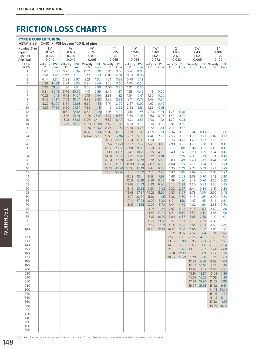| <b>TYPE K COPPER TUBING</b><br>ASTM B 88<br>$C=40$ • PSI loss per 100 ft. of pipe |                                    |                |                                                |                |                                            |                |                                            |                |                                           |                |                                           |                |                               |              |                                             |              |                               |              |
|-----------------------------------------------------------------------------------|------------------------------------|----------------|------------------------------------------------|----------------|--------------------------------------------|----------------|--------------------------------------------|----------------|-------------------------------------------|----------------|-------------------------------------------|----------------|-------------------------------|--------------|---------------------------------------------|--------------|-------------------------------|--------------|
| <b>Nominal Size</b><br>Pipe ID<br>Plpe OD<br>Avg. Wall                            | $1/2$ "<br>0.527<br>0.625<br>0.049 |                | $5/8$ <sup>11</sup><br>0.652<br>0.750<br>0.049 |                | $\frac{3}{4}$ "<br>0.745<br>0.875<br>0.065 |                | 1 <sup>II</sup><br>0.995<br>1.125<br>0.065 |                | $1\frac{1}{4}$<br>1.245<br>1.375<br>0.065 |                | $1\frac{1}{2}$<br>1.481<br>1.625<br>0.072 |                | 2"<br>1.959<br>2.125<br>0.083 |              | $2\frac{1}{2}$ "<br>2.435<br>2.625<br>0.095 |              | 3"<br>2.907<br>3.125<br>0.109 |              |
| Flow<br>(GPM)                                                                     | Velocity PSI<br><b>FPS</b>         | Loss           | Velocity<br><b>FPS</b>                         | PSI<br>Loss    | Velocity PSI<br><b>FPS</b>                 | Loss           | Velocity<br><b>FPS</b>                     | PSI<br>Loss    | Velocity PSI<br><b>FPS</b>                | Loss           | Velocity PSI<br><b>FPS</b>                | Loss           | Velocity PSI<br><b>FPS</b>    | Loss         | Velocity PSI<br><b>FPS</b>                  | Loss         | Velocity PSI<br><b>FPS</b>    | Loss         |
| $\mathbf{1}$                                                                      | 1.47                               | 1.09           | 0.96                                           | 0.39           | 0.74                                       | 0.20           | 0.41                                       | 0.05           | 0.26                                      | 0.02           |                                           |                |                               |              |                                             |              |                               |              |
| 2<br>3                                                                            | 2.94<br>4.41                       | 3.94<br>8.35   | 1.92<br>2.88                                   | 1.40<br>2.97   | 1.47<br>2.21                               | 0.73<br>1.55   | 0.82<br>1.24                               | 0.18<br>0.38   | 0.53<br>0.79                              | 0.06<br>0.13   |                                           |                |                               |              |                                             |              |                               |              |
| 4                                                                                 | 5.88                               | 14.23          | 3.84                                           | 5.05           | 2.94                                       | 2.64           | 1.65                                       | 0.65           | 1.05                                      | 0.22           |                                           |                |                               |              |                                             |              |                               |              |
| 5                                                                                 | 7.35                               | 21.51          | 4.80                                           | 7.64           | 3.68                                       | 3.99           | 2.06                                       | 0.98           | 1.32                                      | 0.33           |                                           |                |                               |              |                                             |              |                               |              |
| 6<br>7                                                                            | 8.81<br>10.28                      | 30.15<br>40.12 | 5.76<br>6.72                                   | 10.70<br>14.24 | 4.41<br>5.15                               | 5.59<br>7.44   | 2.47<br>2.88                               | 1.37<br>1.82   | 1.58<br>1.84                              | 0.46<br>0.61   | 1.12<br>1.30                              | 0.20<br>0.26   |                               |              |                                             |              |                               |              |
| 8                                                                                 | 11.75                              | 51.37          | 7.68                                           | 18.24          | 5.88                                       | 9.53           | 3.30                                       | 2.33           | 2.11                                      | 0.78           | 1.49                                      | 0.34           |                               |              |                                             |              |                               |              |
| 9<br>10                                                                           | 13.22<br>14.69 77.66               | 63.90          | 8.64<br>9.60                                   | 22.68<br>27.57 | 6.62<br>7.35                               | 11.85<br>14.41 | 3.71<br>4.12                               | 2.90<br>3.52   | 2.37<br>2.63                              | 0.97<br>1.18   | 1.67<br>1.86                              | 0.42<br>0.51   |                               |              |                                             |              |                               |              |
| 12                                                                                |                                    |                | 11.52                                          | 38.64          | 8.82                                       | 20.20          | 4.95                                       | 4.94           | 3.16                                      | 1.66           | 2.23                                      | 0.71           | 1.28                          | 0.18         |                                             |              |                               |              |
| 14<br>16                                                                          |                                    |                | 13.44<br>15.36                                 | 51.41<br>65.83 | 10.29<br>11.76                             | 26.87<br>34.41 | 5.77<br>6.59                               | 6.57<br>8.42   | 3.69<br>4.21                              | 2.21<br>2.83   | 2.60<br>2.98                              | 0.95<br>1.22   | 1.49<br>1.70                  | 0.24<br>0.31 |                                             |              |                               |              |
| 18                                                                                |                                    |                | 17.28                                          | 81.88          | 13.23                                      | 42.80          | 7.42                                       | 10.47          | 4.74                                      | 3.52           | 3.35                                      | 1.51           | 1.91                          | 0.39         |                                             |              |                               |              |
| 20<br>22                                                                          |                                    |                |                                                |                | 14.70<br>16.17                             | 52.02<br>62.06 | 8.24<br>9.07                               | 12.72<br>15.18 | 5.26<br>5.79                              | 4.28<br>5.10   | 3.72<br>4.09                              | 1.84<br>2.19   | 2.13<br>2.34                  | 0.47<br>0.56 | 1.51                                        | 0.19         | 1.06                          | 0.08         |
| 24                                                                                |                                    |                |                                                |                | 17.64 72.91                                |                | 9.89                                       | 17.84          | 6.32                                      | 5.99           | 4.46                                      | 2.58           | 2.55                          | 0.66         | 1.65                                        | 0.23         | 1.16                          | 0.10         |
| 26                                                                                |                                    |                |                                                |                |                                            |                | 10.71                                      | 20.69          | 6.84                                      | 6.95           | 4.84                                      | 2.99           | 2.76                          | 0.77         | 1.79                                        | 0.27         | 1.26                          | 0.11         |
| 28<br>30                                                                          |                                    |                |                                                |                |                                            |                | 11.54<br>12.36                             | 23.73<br>26.96 | 7.37<br>7.90                              | 7.97<br>9.06   | 5.21<br>5.58                              | 3.43<br>3.89   | 2.98<br>3.19                  | 0.88<br>1.00 | 1.93<br>2.06                                | 0.30<br>0.35 | 1.35<br>1.45                  | 0.13<br>0.15 |
| 32                                                                                |                                    |                |                                                |                |                                            |                | 13.19                                      | 30.39          | 8.42                                      | 10.21          | 5.95                                      | 4.39           | 3.40                          | 1.12         | 2.20                                        | 0.39         | 1.54                          | 0.16         |
| 34<br>36                                                                          |                                    |                |                                                |                |                                            |                | 14.01<br>14.84                             | 34.00<br>37.79 | 8.95<br>9.48                              | 11.42<br>12.70 | 6.32<br>6.70                              | 4.91<br>5.46   | 3.61<br>3.83                  | 1.26<br>1.40 | 2.34<br>2.48                                | 0.44<br>0.49 | 1.64<br>1.74                  | 0.18<br>0.20 |
| 38                                                                                |                                    |                |                                                |                |                                            |                | 15.66                                      | 41.77          | 10.00                                     | 14.04          | 7.07                                      | 6.03           | 4.04                          | 1.55         | 2.61                                        | 0.54         | 1.83                          | 0.23         |
| 40<br>42                                                                          |                                    |                |                                                |                |                                            |                | 16.48<br>17.31                             | 45.94<br>50.28 | 10.53<br>11.06                            | 15.43<br>16.89 | 7.44<br>7.81                              | 6.63<br>7.26   | 4.25<br>4.47                  | 1.70<br>1.86 | 2.75<br>2.89                                | 0.59<br>0.65 | 1.93<br>2.03                  | 0.25<br>0.27 |
| 44                                                                                |                                    |                |                                                |                |                                            |                |                                            |                | 11.58                                     | 18.41          | 8.18                                      | 7.91           | 4.68                          | 2.03         | 3.03                                        | 0.70         | 2.12                          | 0.30         |
| 46<br>48                                                                          |                                    |                |                                                |                |                                            |                |                                            |                | 12.11<br>12.63                            | 19.99<br>21.63 | 8.56<br>8.93                              | 8.59<br>9.30   | 4.89<br>5.10                  | 2.20<br>2.38 | 3.17<br>3.30                                | 0.76<br>0.83 | 2.22<br>2.32                  | 0.32<br>0.35 |
| 50                                                                                |                                    |                |                                                |                |                                            |                |                                            |                | 13.16                                     | 23.33          | 9.30                                      | 10.03          | 5.32                          | 2.57         | 3.44                                        | 0.89         | 2.41                          | 0.38         |
| 55                                                                                |                                    |                |                                                |                |                                            |                |                                            |                | 14.48                                     | 27.84          | 10.23                                     | 11.96          | 5.85                          | 3.07         | 3.78                                        | 1.06         | 2.66                          | 0.45         |
| 60<br>65                                                                          |                                    |                |                                                |                |                                            |                |                                            |                | 15.79<br>17.11                            | 32.70<br>37.93 | 11.16<br>12.09                            | 14.05<br>16.30 | 6.38<br>6.91                  | 3.60<br>4.18 | 4.13<br>4.47                                | 1.25<br>1.45 | 2.90<br>3.14                  | 0.53<br>0.61 |
| 70                                                                                |                                    |                |                                                |                |                                            |                |                                            |                | 18.43 43.51                               |                | 13.02                                     | 18.70          | 7.44                          | 4.79         | 4.82                                        | 1.66         | 3.38                          | 0.70         |
| 75<br>80                                                                          |                                    |                |                                                |                |                                            |                |                                            |                |                                           |                | 13.95<br>14.88                            | 21.24<br>23.94 | 7.97<br>8.51                  | 5.45<br>6.14 | 5.16<br>5.50                                | 1.89<br>2.13 | 3.62<br>3.86                  | 0.80<br>0.90 |
| 85                                                                                |                                    |                |                                                |                |                                            |                |                                            |                |                                           |                | 15.81                                     | 26.79          | 9.04                          | 6.87         | 5.85                                        | 2.38         | 4.10                          | 1.01         |
| 90<br>95                                                                          |                                    |                |                                                |                |                                            |                |                                            |                |                                           |                | 16.74<br>17.67                            | 29.78<br>32.91 | 9.57<br>10.10                 | 7.63<br>8.44 | 6.19<br>6.54                                | 2.65<br>2.93 | 4.35<br>4.59                  | 1.12<br>1.24 |
| 100                                                                               |                                    |                |                                                |                |                                            |                |                                            |                |                                           |                | 18.60                                     | 36.19          | 10.63                         | 9.28         | 6.88                                        | 3.22         | 4.83                          | 1.36         |
| 110<br>120                                                                        |                                    |                |                                                |                |                                            |                |                                            |                |                                           |                |                                           |                | 11.69<br>$12.76$ 13.01        | 11.07        | 7.57<br>8.26 4.51                           | 3.84         | 5.31<br>5.79 1.91             | 1.62         |
| 130                                                                               |                                    |                |                                                |                |                                            |                |                                            |                |                                           |                |                                           |                | 13.82 15.08                   |              | 8.95                                        | 5.23         | 6.28                          | 2.21         |
| 140<br>150                                                                        |                                    |                |                                                |                |                                            |                |                                            |                |                                           |                |                                           |                | 14.88 17.30<br>15.95 19.66    |              | 9.63 6.00<br>10.32                          | 6.82         | 6.76<br>7.24                  | 2.54<br>2.88 |
| 160                                                                               |                                    |                |                                                |                |                                            |                |                                            |                |                                           |                |                                           |                | 17.01 22.16                   |              | 11.01                                       | 7.69         | 7.72                          | 3.25         |
| 170<br>180                                                                        |                                    |                |                                                |                |                                            |                |                                            |                |                                           |                |                                           |                | 18.07 24.79                   |              | 11.70 8.60<br>12.39                         | 9.56         | 8.21<br>8.69                  | 3.63<br>4.04 |
| 190                                                                               |                                    |                |                                                |                |                                            |                |                                            |                |                                           |                |                                           |                |                               |              | 13.07 10.57                                 |              | 9.17                          | 4.46         |
| 200                                                                               |                                    |                |                                                |                |                                            |                |                                            |                |                                           |                |                                           |                |                               |              | 13.76 11.62                                 |              | 9.66                          | 4.91         |
| 220<br>240                                                                        |                                    |                |                                                |                |                                            |                |                                            |                |                                           |                |                                           |                |                               |              | 15.14 13.87<br>16.51 16.29                  |              | 10.62<br>11.59                | 5.86<br>6.88 |
| 260                                                                               |                                    |                |                                                |                |                                            |                |                                            |                |                                           |                |                                           |                |                               |              | 17.89 18.90                                 |              | 12.55                         | 7.98         |
| 280<br>300                                                                        |                                    |                |                                                |                |                                            |                |                                            |                |                                           |                |                                           |                |                               |              | 19.27 21.68                                 |              | 13.52<br>14.48 10.40          | 9.15         |
| 320                                                                               |                                    |                |                                                |                |                                            |                |                                            |                |                                           |                |                                           |                |                               |              |                                             |              | 15.45 11.72                   |              |
| 340<br>360                                                                        |                                    |                |                                                |                |                                            |                |                                            |                |                                           |                |                                           |                |                               |              |                                             |              | 16.42 13.11<br>17.38 14.58    |              |
| 380                                                                               |                                    |                |                                                |                |                                            |                |                                            |                |                                           |                |                                           |                |                               |              |                                             |              | 18.35 16.11                   |              |
| 400                                                                               |                                    |                |                                                |                |                                            |                |                                            |                |                                           |                |                                           |                |                               |              |                                             |              |                               |              |
| 420<br>440                                                                        |                                    |                |                                                |                |                                            |                |                                            |                |                                           |                |                                           |                |                               |              |                                             |              |                               |              |
| 460                                                                               |                                    |                |                                                |                |                                            |                |                                            |                |                                           |                |                                           |                |                               |              |                                             |              |                               |              |
| 480<br>500                                                                        |                                    |                |                                                |                |                                            |                |                                            |                |                                           |                |                                           |                |                               |              |                                             |              |                               |              |

Notes: Shaded area represents velocities over 7 fps. Use with caution where water hammer is a concern.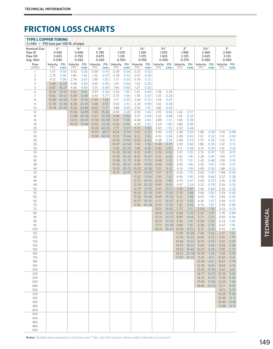#### TYPE L COPPER TUBING

| $C=140$ • PSI loss per 100 ft. of pipe |              |                     |            |                     |                 |       |              |                 |              |                |              |                  |              |             |              |                  |              |             |
|----------------------------------------|--------------|---------------------|------------|---------------------|-----------------|-------|--------------|-----------------|--------------|----------------|--------------|------------------|--------------|-------------|--------------|------------------|--------------|-------------|
| <b>Nominal Size</b>                    |              | $1/2$ <sup>11</sup> |            | $5/8$ <sup>11</sup> | $\frac{3}{4}$ " |       |              | 1 <sup>II</sup> |              | $1\frac{1}{4}$ |              | $1\frac{1}{2}$ " |              | 2"          |              | $2\frac{1}{2}$ " |              | 3"          |
| Pipe ID                                |              | 0.545               |            | 0.666               | 0.785           |       |              | 1.025           |              | 1.265          |              | 1.505            |              | 1.985       |              | 2.465            |              | 2.945       |
| Pipe OD                                |              | 0.625               |            | 0.750               | 0.875           |       |              | 1.125           |              | 1.375          |              | 1.625            |              | 2.125       | 2.625        |                  |              | 3.125       |
| Avg. Wall                              |              | 0.040               |            | 0.042               | 0.045           |       |              | 0.050           |              | 0.055          |              | 0.060            |              | 0.070       | 0.080        |                  |              | 0.090       |
| Flow                                   | Velocity PSI |                     | Velocity   | <b>PSI</b>          | Velocity PSI    |       | Velocity PSI |                 | Velocity PSI |                | Velocity PSI |                  | Velocity PSI |             | Velocity PSI |                  | Velocity PSI |             |
| (GPM)                                  | <b>FPS</b>   | Loss                | <b>FPS</b> | Loss                | <b>FPS</b>      | Loss  | FPS          | Loss            | <b>FPS</b>   | Loss           | <b>FPS</b>   | Loss             | <b>FPS</b>   | Loss        | <b>FPS</b>   | Loss             | <b>FPS</b>   | Loss        |
| $\mathbf{1}$                           | 1.37         | 0.93                | 0.92       | 0.35                | 0.66            | 0.16  | 0.39         | 0.04            | 0.25         | 0.02           |              |                  |              |             |              |                  |              |             |
| $\overline{2}$                         | 2.75         | 3.35                | 1.84       | 1.26                | 1.32            | 0.57  | 0.78         | 0.15            | 0.51         | 0.06           |              |                  |              |             |              |                  |              |             |
| 3                                      | 4.12         | 7.09                | 2.76       | 2.67                | 1.99            | 1.20  | 1.17         | 0.33            | 0.76         | 0.12           |              |                  |              |             |              |                  |              |             |
| $\sqrt{4}$                             | 5.49         | 12.09               | 3.68       | 4.56                | 2.65            | 2.05  | 1.55         | 0.56            | 1.02         | 0.20           |              |                  |              |             |              |                  |              |             |
| 5                                      | 6.87         | 18.27               | 4.60       | 6.89                | 3.31            | 3.09  | 1.94         | 0.85            | 1.27         | 0.30           |              |                  |              |             |              |                  |              |             |
| 6                                      | 8.24         | 25.61               | 5.52       | 9.65                | 3.97            | 4.34  | 2.33         | 1.18            | 1.53         | 0.43           | 1.08         | 0.18             |              |             |              |                  |              |             |
| $\overline{7}$                         | 9.62         | 34.07               | 6.44       | 12.84               | 4.63            | 5.77  | 2.72         | 1.58            | 1.78         | 0.57           | 1.26         | 0.24             |              |             |              |                  |              |             |
| 8                                      | 10.99        | 43.63               | 7.36       | 16.45               | 5.30            | 7.39  | 3.11         | 2.02            | 2.04         | 0.72           | 1.44         | 0.31             |              |             |              |                  |              |             |
| 9                                      | 12.36        | 54.26               | 8.28       | 20.45               | 5.96            | 9.19  | 3.50         | 2.51            | 2.29         | 0.90           | 1.62         | 0.39             |              |             |              |                  |              |             |
| 10                                     | 13.74        | 65.95               | 9.20       | 24.86               | 6.62            | 11.17 | 3.88         | 3.05            | 2.55         | 1.10           | 1.80         | 0.47             |              |             |              |                  |              |             |
| 12                                     |              |                     | 11.04      | 34.85               | 7.95            | 15.66 | 4.66         | 4.28            | 3.06         | 1.54           | 2.16         | 0.66             | 1.24         | 0.17        |              |                  |              |             |
| 14                                     |              |                     | 12.88      | 46.36               | 9.27            | 20.83 | 5.44         | 5.69            | 3.57         | 2.04           | 2.52         | 0.88             | 1.45         | 0.23        |              |                  |              |             |
|                                        |              |                     | 14.72      | 59.37               | 10.59           | 26.68 |              | 7.28            | 4.08         |                | 2.88         |                  | 1.66         | 0.29        |              |                  |              |             |
| 16                                     |              |                     |            | 16.56 73.84         | 11.92           |       | 6.21<br>6.99 |                 |              | 2.62           |              | 1.12             |              |             |              |                  |              |             |
| 18                                     |              |                     |            |                     |                 | 33.18 |              | 9.06            | 4.59         | 3.25           | 3.24         | 1.40             | 1.86         | 0.36        |              |                  |              |             |
| 20                                     |              |                     |            |                     | 13.24 40.33     |       | 7.77         | 11.01           | 5.10         | 3.96           | 3.60         | 1.70             | 2.07         | 0.44        |              |                  |              |             |
| 22                                     |              |                     |            |                     | 14.57           | 48.11 | 8.54         | 13.14           | 5.61         | 4.72           | 3.96         | 2.03             | 2.28         | 0.53        | 1.48         | 0.18             | 1.03         | 0.08        |
| 24                                     |              |                     |            |                     | 15.89 56.53     |       | 9.32         | 15.44           | 6.12         | 5.55           | 4.32         | 2.38             | 2.49         | 0.62        | 1.61         | 0.22             | 1.13         | 0.09        |
| 26                                     |              |                     |            |                     |                 |       | 10.10        | 17.90           | 6.63         | 6.43           | 4.68         | 2.76             | 2.69         | 0.72        | 1.75         | 0.25             | 1.22         | 0.11        |
| 28                                     |              |                     |            |                     |                 |       | 10.87        | 20.54           | 7.14         | 7.38           | 5.04         | 3.17             | 2.90         | 0.82        | 1.88         | 0.29             | 1.32         | 0.12        |
| 30                                     |              |                     |            |                     |                 |       | 11.65        | 23.33           | 7.65         | 8.38           | 5.40         | 3.60             | 3.11         | 0.94        | 2.01         | 0.33             | 1.41         | 0.14        |
| 32                                     |              |                     |            |                     |                 |       | 12.43        | 26.30           | 8.16         | 9.45           | 5.76         | 4.06             | 3.31         | 1.05        | 2.15         | 0.37             | 1.51         | 0.15        |
| 34                                     |              |                     |            |                     |                 |       | 13.20        | 29.42           | 8.67         | 10.57          | 6.12         | 4.54             | 3.52         | 1.18        | 2.28         | 0.41             | 1.60         | 0.17        |
| 36                                     |              |                     |            |                     |                 |       | 13.98        | 32.71           | 9.18         | 11.75          | 6.48         | 5.05             | 3.73         | 1.31        | 2.42         | 0.46             | 1.69         | 0.19        |
| 38                                     |              |                     |            |                     |                 |       | 14.76        | 36.15           | 9.69         | 12.99          | 6.84         | 5.58             | 3.93         | 1.45        | 2.55         | 0.51             | 1.79         | 0.21        |
| 40                                     |              |                     |            |                     |                 |       | 15.53        | 39.75           | 10.20        | 14.28          | 7.21         | 6.13             | 4.14         | 1.59        | 2.69         | 0.56             | 1.88         | 0.23        |
| 42                                     |              |                     |            |                     |                 |       | 16.31        | 43.51           | 10.71        | 15.63          | 7.57         | 6.71             | 4.35         | 1.75        | 2.82         | 0.61             | 1.98         | 0.26        |
| 44                                     |              |                     |            |                     |                 |       |              |                 | 11.22        | 17.04          | 7.93         | 7.32             | 4.56         | 1.90        | 2.95         | 0.66             | 2.07         | 0.28        |
| 46                                     |              |                     |            |                     |                 |       |              |                 | 11.73        | 18.50          | 8.29         | 7.94             | 4.76         | 2.07        | 3.09         | 0.72             | 2.16         | 0.30        |
| 48                                     |              |                     |            |                     |                 |       |              |                 |              | 12.24 20.02    | 8.65         | 8.60             | 4.97         | 2.24        | 3.22         | 0.78             | 2.26         | 0.33        |
| 50                                     |              |                     |            |                     |                 |       |              |                 | 12.75        | 21.59          | 9.01         | 9.27             | 5.18         | 2.41        | 3.36         | 0.84             | 2.35         | 0.35        |
| 55                                     |              |                     |            |                     |                 |       |              |                 |              | 14.02 25.76    | 9.91         | 11.06            | 5.70         | 2.88        | 3.69         | 1.00             | 2.59         | 0.42        |
| 60                                     |              |                     |            |                     |                 |       |              |                 |              | 15.30 30.26    | 10.81        | 13.00            | 6.21         | 3.38        | 4.03         | 1.18             | 2.82         | 0.50        |
| 65                                     |              |                     |            |                     |                 |       |              |                 |              | 16.57 35.10    | 11.71        | 15.07            | 6.73         | 3.92        | 4.36         | 1.37             | 3.06         | 0.57        |
| 70                                     |              |                     |            |                     |                 |       |              |                 |              | 17.85 40.26    | 12.61        | 17.29            | 7.25         | 4.50        | 4.70         | 1.57             | 3.29         | 0.66        |
| 75                                     |              |                     |            |                     |                 |       |              |                 |              |                | 13.51        | 19.65            | 7.77         | 5.11        | 5.04         | 1.78             | 3.53         | 0.75        |
| 80                                     |              |                     |            |                     |                 |       |              |                 |              |                | 14.41        | 22.14            | 8.28         | 5.76        | 5.37         | 2.01             | 3.76         | 0.84        |
| 85                                     |              |                     |            |                     |                 |       |              |                 |              |                | 15.31        | 24.77            | 8.80         | 6.44        | 5.71         | 2.25             | 4.00         | 0.94        |
| 90                                     |              |                     |            |                     |                 |       |              |                 |              |                | 16.21        | 27.54            | 9.32         | 7.16        | 6.04         | 2.50             | 4.23         | 1.05        |
| 95                                     |              |                     |            |                     |                 |       |              |                 |              |                | 17.11        | 30.44            | 9.84         | 7.91        | 6.38         | 2.76             | 4.47         | 1.16        |
| 100                                    |              |                     |            |                     |                 |       |              |                 |              |                | 18.01        | 33.47            | 10.35        | 8.70        | 6.71         | 3.03             | 4.70         | 1.28        |
| 110                                    |              |                     |            |                     |                 |       |              |                 |              |                |              |                  | 11.39        | 10.38       | 7.39         | 3.62             | 5.17         | 1.52        |
| 120                                    |              |                     |            |                     |                 |       |              |                 |              |                |              |                  | 12.43        | 12.20       | 8.06         | 4.25             | 5.65         | 1.79        |
| 130                                    |              |                     |            |                     |                 |       |              |                 |              |                |              |                  | 13.46        | 14.15       | 8.73         | 4.93             | 6.12         | 2.07        |
| 140                                    |              |                     |            |                     |                 |       |              |                 |              |                |              |                  |              | 14.50 16.23 | 9.40         | 5.66             | 6.59         | 2.38        |
| 150                                    |              |                     |            |                     |                 |       |              |                 |              |                |              |                  | 15.53        | 18.44       | 10.07        | 6.43             | 7.06         | 2.70        |
| 160                                    |              |                     |            |                     |                 |       |              |                 |              |                |              |                  |              | 16.57 20.78 | 10.74        | 7.24             | 7.53         | 3.05        |
| 170                                    |              |                     |            |                     |                 |       |              |                 |              |                |              |                  |              | 17.60 23.25 | 11.41        | 8.11             | 8.00         | 3.41        |
| 180                                    |              |                     |            |                     |                 |       |              |                 |              |                |              |                  |              |             | 12.09        | 9.01             | 8.47         | 3.79        |
| 190                                    |              |                     |            |                     |                 |       |              |                 |              |                |              |                  |              |             | 12.76        | 9.96             | 8.94         | 4.19        |
| 200                                    |              |                     |            |                     |                 |       |              |                 |              |                |              |                  |              |             | 13.43 10.95  |                  | 9.41         | 4.61        |
| 220                                    |              |                     |            |                     |                 |       |              |                 |              |                |              |                  |              |             | 14.77 13.07  |                  | 10.35        | 5.50        |
| 240                                    |              |                     |            |                     |                 |       |              |                 |              |                |              |                  |              |             | 16.12        | 15.35            | 11.29        | 6.46        |
| 260                                    |              |                     |            |                     |                 |       |              |                 |              |                |              |                  |              |             | 17.46 17.80  |                  | 12.23        | 7.49        |
| 280                                    |              |                     |            |                     |                 |       |              |                 |              |                |              |                  |              |             | 18.80 20.42  |                  | 13.17        | 8.59        |
| 300                                    |              |                     |            |                     |                 |       |              |                 |              |                |              |                  |              |             |              |                  | 14.11        | 9.76        |
| 320                                    |              |                     |            |                     |                 |       |              |                 |              |                |              |                  |              |             |              |                  | 15.05        | 11.00       |
| 340                                    |              |                     |            |                     |                 |       |              |                 |              |                |              |                  |              |             |              |                  | 15.99        | 12.31       |
| 360                                    |              |                     |            |                     |                 |       |              |                 |              |                |              |                  |              |             |              |                  |              | 16.94 13.69 |
| 380                                    |              |                     |            |                     |                 |       |              |                 |              |                |              |                  |              |             |              |                  |              | 17.88 15.13 |
| 400                                    |              |                     |            |                     |                 |       |              |                 |              |                |              |                  |              |             |              |                  |              |             |
| 420                                    |              |                     |            |                     |                 |       |              |                 |              |                |              |                  |              |             |              |                  |              |             |
| 440                                    |              |                     |            |                     |                 |       |              |                 |              |                |              |                  |              |             |              |                  |              |             |
| 460                                    |              |                     |            |                     |                 |       |              |                 |              |                |              |                  |              |             |              |                  |              |             |
| 480                                    |              |                     |            |                     |                 |       |              |                 |              |                |              |                  |              |             |              |                  |              |             |
| 500                                    |              |                     |            |                     |                 |       |              |                 |              |                |              |                  |              |             |              |                  |              |             |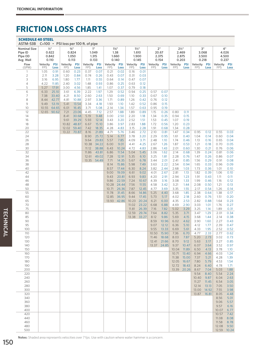| <b>SCHEDULE 40 STEEL</b><br>ASTM-53B<br>C=100 • PSI loss per 100 ft. of pipe |                        |                                                |                        |                                            |                               |                    |                                            |                    |                                           |                    |                               |                |                                             |                    |                               |                    |                               |                    |
|------------------------------------------------------------------------------|------------------------|------------------------------------------------|------------------------|--------------------------------------------|-------------------------------|--------------------|--------------------------------------------|--------------------|-------------------------------------------|--------------------|-------------------------------|----------------|---------------------------------------------|--------------------|-------------------------------|--------------------|-------------------------------|--------------------|
| <b>Nominal Size</b><br>Pipe ID<br>Plpe OD<br>Avg. Wall                       |                        | $1/2$ <sup>11</sup><br>0.622<br>0.842<br>0.110 |                        | $\frac{3}{4}$ "<br>0.824<br>1.050<br>0.113 | 1"<br>1.049<br>1.315<br>0.133 |                    | $1\frac{1}{4}$ "<br>1.38<br>1.660<br>0.140 |                    | $1\frac{1}{2}$<br>1.610<br>1.900<br>0.145 |                    | 2"<br>20.67<br>2.375<br>0.154 |                | $2\frac{1}{2}$ "<br>2.469<br>2.875<br>0.203 |                    | З"<br>3.068<br>3.500<br>0.218 |                    | 4"<br>4.026<br>4.500<br>0.237 |                    |
| Flow<br>(GPM)                                                                | Velocity<br><b>FPS</b> | <b>PSI</b><br>Loss                             | Velocity<br><b>FPS</b> | <b>PSI</b><br>Loss                         | Velocity<br><b>FPS</b>        | <b>PSI</b><br>Loss | Velocity<br><b>FPS</b>                     | <b>PSI</b><br>Loss | Velocity<br><b>FPS</b>                    | <b>PSI</b><br>Loss | Velocity PSI<br><b>FPS</b>    | Loss           | Velocity<br><b>FPS</b>                      | <b>PSI</b><br>Loss | Velocity<br><b>FPS</b>        | <b>PSI</b><br>Loss | Velocity<br><b>FPS</b>        | <b>PSI</b><br>Loss |
| 1                                                                            | 1.05                   | 0.91                                           | 0.60                   | 0.23                                       | 0.37                          | 0.07               | 0.21                                       | 0.02               | 0.16                                      | 0.01               |                               |                |                                             |                    |                               |                    |                               |                    |
| $\overline{2}$                                                               | 2.11                   | 3.28                                           | 1.20                   | 0.84                                       | 0.74                          | 0.26               | 0.43                                       | 0.07               | 0.31                                      | 0.03               |                               |                |                                             |                    |                               |                    |                               |                    |
| 3<br>$\overline{4}$                                                          | 3.16<br>4.22           | 6.95<br>11.85                                  | 1.80<br>2.40           | 1.77<br>3.02                               | 1.11<br>1.48                  | 0.55<br>0.93       | 0.64<br>0.86                               | 0.14<br>0.25       | 0.47<br>0.63                              | 0.07<br>0.12       |                               |                |                                             |                    |                               |                    |                               |                    |
| 5                                                                            | 5.27                   | 17.91                                          | 3.00                   | 4.56                                       | 1.85                          | 1.41               | 1.07                                       | 0.37               | 0.79                                      | 0.18               |                               |                |                                             |                    |                               |                    |                               |                    |
| 6                                                                            | 6.33                   | 25.10                                          | 3.61                   | 6.39                                       | 2.22                          | 1.97               | 1.29                                       | 0.52               | 0.94                                      | 0.25               | 0.57                          | 0.07           |                                             |                    |                               |                    |                               |                    |
| 7                                                                            | 7.38                   | 33.40                                          | 4.21                   | 8.50                                       | 2.60                          | 2.63               | 1.50                                       | 0.69               | 1.10                                      | 0.33               | 0.67                          | 0.10           |                                             |                    |                               |                    |                               |                    |
| 8<br>9                                                                       | 8.44<br>9.49           | 42.77<br>53.19                                 | 4.81<br>5.41           | 10.88<br>13.54                             | 2.97<br>3.34                  | 3.36<br>4.18       | 1.71<br>1.93                               | 0.89<br>1.10       | 1.26<br>1.42                              | 0.42<br>0.52       | 0.76<br>0.86                  | 0.12<br>0.15   |                                             |                    |                               |                    |                               |                    |
| 10                                                                           | 10.55                  | 64.65                                          | 6.01                   | 16.45                                      | 3.71                          | 5.08               | 2.14                                       | 1.34               | 1.57                                      | 0.63               | 0.95                          | 0.19           |                                             |                    |                               |                    |                               |                    |
| 12                                                                           |                        | 12.65 90.62                                    | 7.21                   | 23.06                                      | 4.45                          | 7.12               | 2.57                                       | 1.88               | 1.89                                      | 0.89               | 1.15                          | 0.26           | 0.80                                        | 0.11               |                               |                    |                               |                    |
| 14<br>16                                                                     |                        |                                                | 8.41<br>9.61           | 30.68<br>39.29                             | 5.19<br>5.93                  | 9.48<br>12.14      | 3.00<br>3.43                               | 2.50<br>3.20       | 2.20<br>2.52                              | 1.18<br>1.51       | 1.34<br>1.53                  | 0.35<br>0.45   | 0.94<br>1.07                                | 0.15<br>0.19       |                               |                    |                               |                    |
| 18                                                                           |                        |                                                | 10.82                  | 48.87                                      | 6.67                          | 15.10              | 3.86                                       | 3.97               | 2.83                                      | 1.88               | 1.72                          | 0.56           | 1.20                                        | 0.23               |                               |                    |                               |                    |
| 20                                                                           |                        |                                                | 12.02                  | 59.40                                      | 7.42                          | 18.35              | 4.28                                       | 4.83               | 3.15                                      | 2.28               | 1.91                          | 0.68           | 1.34                                        | 0.28               |                               |                    |                               |                    |
| 22                                                                           |                        |                                                |                        | 13.22 70.87                                | 8.16                          | 21.89              | 4.71                                       | 5.76               | 3.46                                      | 2.72               | 2.10                          | 0.81           | 1.47                                        | 0.34               | 0.95                          | 0.12               | 0.55                          | 0.03               |
| 24<br>26                                                                     |                        |                                                |                        |                                            | 8.90<br>9.64                  | 25.72<br>29.83     | 5.14<br>5.57                               | 6.77<br>7.85       | 3.78<br>4.09                              | 3.20<br>3.71       | 2.29<br>2.48                  | 0.95<br>1.10   | 1.61<br>1.74                                | 0.40<br>0.46       | 1.04<br>1.13                  | 0.14<br>0.16       | 0.60<br>0.65                  | 0.04<br>0.04       |
| 28                                                                           |                        |                                                |                        |                                            | 10.38                         | 34.22              | 6.00                                       | 9.01               | 4.41                                      | 4.25               | 2.67                          | 1.26           | 1.87                                        | 0.53               | 1.21                          | 0.18               | 0.70                          | 0.05               |
| 30                                                                           |                        |                                                |                        |                                            | 11.12                         | 38.88              | 6.43                                       | 10.24              | 4.72                                      | 4.83               | 2.86                          | 1.43           | 2.01                                        | 0.60               | 1.30                          | 0.21               | 0.76                          | 0.06               |
| 32<br>34                                                                     |                        |                                                |                        |                                            | 11.86<br>12.61                | 43.81<br>49.02     | 6.86<br>7.28                               | 11.54<br>12.91     | 5.04<br>5.35                              | 5.45<br>6.10       | 3.06<br>3.25                  | 1.62<br>1.81   | 2.14<br>2.28                                | 0.68<br>0.76       | 1.39<br>1.47                  | 0.24<br>0.26       | 0.81<br>0.86                  | 0.06<br>0.07       |
| 36                                                                           |                        |                                                |                        |                                            | 13.35                         | 54.49              | 7.71                                       | 14.35              | 5.67                                      | 6.78               | 3.44                          | 2.01           | 2.41                                        | 0.85               | 1.56                          | 0.29               | 0.91                          | 0.08               |
| 38                                                                           |                        |                                                |                        |                                            |                               |                    | 8.14                                       | 15.86              | 5.98                                      | 7.49               | 3.63                          | 2.22           | 2.54                                        | 0.94               | 1.65                          | 0.33               | 0.96                          | 0.09               |
| 40                                                                           |                        |                                                |                        |                                            |                               |                    | 8.57                                       | 17.44              | 6.30                                      | 8.24               | 3.82                          | 2.44           | 2.68                                        | 1.03               | 1.73                          | 0.36               | 1.01                          | 0.10               |
| 42<br>44                                                                     |                        |                                                |                        |                                            |                               |                    | 9.00<br>9.43                               | 19.09<br>20.81     | 6.61<br>6.93                              | 9.02<br>9.83       | 4.01<br>4.20                  | 2.67<br>2.91   | 2.81<br>2.94                                | 1.13<br>1.23       | 1.82<br>1.91                  | 0.39<br>0.43       | 1.06<br>1.11                  | 0.10<br>0.11       |
| 46                                                                           |                        |                                                |                        |                                            |                               |                    | 9.86                                       | 22.59              | 7.24                                      | 10.67              | 4.39                          | 3.16           | 3.08                                        | 1.33               | 1.99                          | 0.46               | 1.16                          | 0.12               |
| 48                                                                           |                        |                                                |                        |                                            |                               |                    | 10.28                                      | 24.44              | 7.56                                      | 11.55              | 4.58                          | 3.42           | 3.21                                        | 1.44               | 2.08                          | 0.50               | 1.21                          | 0.13               |
| 50<br>55                                                                     |                        |                                                |                        |                                            |                               |                    | 10.71                                      | 26.36              | 7.87                                      | 12.45              | 4.77                          | 3.69           | 3.35                                        | 1.55               | 2.17                          | 0.54               | 1.26                          | 0.14               |
| 60                                                                           |                        |                                                |                        |                                            |                               |                    | 11.78<br>12.85                             | 31.45<br>36.95     | 8.66<br>9.44                              | 14.86<br>17.45     | 5.25<br>5.73                  | 4.40<br>5.17   | 3.68<br>4.02                                | 1.85<br>2.18       | 2.38<br>2.60                  | 0.64<br>0.76       | 1.38<br>1.51                  | 0.17<br>0.20       |
| 65                                                                           |                        |                                                |                        |                                            |                               |                    | 13.93                                      | 42.86              | 10.23                                     | 20.24              | 6.21                          | 6.00           | 4.35                                        | 2.53               | 2.82                          | 0.88               | 1.64                          | 0.23               |
| 70                                                                           |                        |                                                |                        |                                            |                               |                    |                                            |                    | 11.02                                     | 23.22              | 6.68                          | 6.88           | 4.69                                        | 2.90               | 3.03                          | 1.01               | 1.76                          | 0.27               |
| 75<br>80                                                                     |                        |                                                |                        |                                            |                               |                    |                                            |                    | 11.81<br>12.59                            | 26.39<br>29.74     | 7.16<br>7.64                  | 7.82<br>8.82   | 5.02<br>5.35                                | 3.29<br>3.71       | 3.25<br>3.47                  | 1.14<br>1.29       | 1.89<br>2.01                  | 0.31<br>0.34       |
| 85                                                                           |                        |                                                |                        |                                            |                               |                    |                                            |                    | 13.38                                     | 33.27              | 8.12                          | 9.86           | 5.69                                        | 4.15               | 3.68                          | 1.44               | 2.14                          | 0.38               |
| 90                                                                           |                        |                                                |                        |                                            |                               |                    |                                            |                    |                                           |                    | 8.59                          | 10.96          | 6.02                                        | 4.62               | 3.90                          | 1.60               | 2.27                          | 0.43               |
| 95<br>100                                                                    |                        |                                                |                        |                                            |                               |                    |                                            |                    |                                           |                    | 9.07<br>9.55                  | 12.12<br>13.33 | 6.36<br>6.69                                | 5.10               | 4.12                          | 1.77               | 2.39                          | 0.47               |
| 110                                                                          |                        |                                                |                        |                                            |                               |                    |                                            |                    |                                           |                    | 10.50                         | 15.90          | 7.36                                        | 5.61<br>6.70       | 4.33<br>4.77                  | 1.95<br>2.33       | 2.52<br>2.77                  | 0.52<br>0.62       |
| 120                                                                          |                        |                                                |                        |                                            |                               |                    |                                            |                    |                                           |                    | 11.46 18.68                   |                | 8.03                                        | 7.87               | 5.20                          | 2.73               | 3.02                          | 0.73               |
| 130                                                                          |                        |                                                |                        |                                            |                               |                    |                                            |                    |                                           |                    | 12.41 21.66                   |                | 8.70                                        | 9.12               | 5.63                          | 3.17               | 3.27                          | 0.85               |
| 140<br>150                                                                   |                        |                                                |                        |                                            |                               |                    |                                            |                    |                                           |                    | 13.37 24.85                   |                | 9.37<br>10.04                               | 10.47<br>11.89     | 6.07<br>6.50                  | 3.64<br>4.13       | 3.52<br>3.78                  | 0.97<br>1.10       |
| 160                                                                          |                        |                                                |                        |                                            |                               |                    |                                            |                    |                                           |                    |                               |                | 10.71                                       | 13.40              | 6.94                          | 4.66               | 4.03                          | 1.24               |
| 170                                                                          |                        |                                                |                        |                                            |                               |                    |                                            |                    |                                           |                    |                               |                | 11.38                                       | 15.00              | 7.37                          | 5.21               | 4.28                          | 1.39               |
| 180                                                                          |                        |                                                |                        |                                            |                               |                    |                                            |                    |                                           |                    |                               |                | 12.05                                       | 16.67              | 7.80                          | 5.79               | 4.53                          | 1.54               |
| 190<br>200                                                                   |                        |                                                |                        |                                            |                               |                    |                                            |                    |                                           |                    |                               |                | 12.72<br>13.39                              | 18.43<br>20.26     | 8.24<br>8.67                  | 6.40<br>7.04       | 4.78<br>5.03                  | 1.71<br>1.88       |
| 220                                                                          |                        |                                                |                        |                                            |                               |                    |                                            |                    |                                           |                    |                               |                |                                             |                    | 9.54                          | 8.40               | 5.54                          | 2.24               |
| 240                                                                          |                        |                                                |                        |                                            |                               |                    |                                            |                    |                                           |                    |                               |                |                                             |                    | 10.40                         | 9.87               | 6.04                          | 2.63               |
| 260                                                                          |                        |                                                |                        |                                            |                               |                    |                                            |                    |                                           |                    |                               |                |                                             |                    | 11.27                         | 11.45              | 6.54                          | 3.05               |
| 280<br>300                                                                   |                        |                                                |                        |                                            |                               |                    |                                            |                    |                                           |                    |                               |                |                                             |                    | 12.14<br>13.00                | 13.13<br>14.92     | 7.05<br>7.55                  | 3.50<br>3.98       |
| 320                                                                          |                        |                                                |                        |                                            |                               |                    |                                            |                    |                                           |                    |                               |                |                                             |                    | 13.87 16.81                   |                    | 8.05                          | 4.48               |
| 340                                                                          |                        |                                                |                        |                                            |                               |                    |                                            |                    |                                           |                    |                               |                |                                             |                    |                               |                    | 8.56                          | 5.01               |
| 360<br>380                                                                   |                        |                                                |                        |                                            |                               |                    |                                            |                    |                                           |                    |                               |                |                                             |                    |                               |                    | 9.06<br>9.57                  | 5.57<br>6.16       |
| 400                                                                          |                        |                                                |                        |                                            |                               |                    |                                            |                    |                                           |                    |                               |                |                                             |                    |                               |                    | 10.07                         | 6.77               |
| 420                                                                          |                        |                                                |                        |                                            |                               |                    |                                            |                    |                                           |                    |                               |                |                                             |                    |                               |                    | 10.57                         | 7.42               |
| 440                                                                          |                        |                                                |                        |                                            |                               |                    |                                            |                    |                                           |                    |                               |                |                                             |                    |                               |                    | 11.08                         | 8.08               |
| 460<br>480                                                                   |                        |                                                |                        |                                            |                               |                    |                                            |                    |                                           |                    |                               |                |                                             |                    |                               |                    | 11.58<br>12.08                | 8.78<br>9.50       |
| 500                                                                          |                        |                                                |                        |                                            |                               |                    |                                            |                    |                                           |                    |                               |                |                                             |                    |                               |                    | 12.59 10.24                   |                    |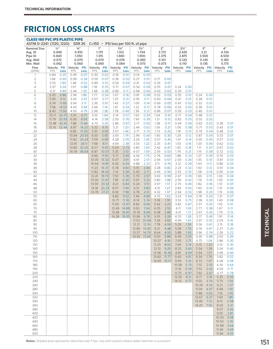| <b>CLASS 160 PVC IPS PLASTIC PIPE</b><br>ASTM D-2241 (1120, 1220)   |              |                                                         |                | <b>SDR 26</b>                                       |                                        |                | $C=150$ • PSI loss per 100 ft. of pipe |                                                      |                |                                                    |              |                                        |                                                      |              |                                       |              |              |                                        |
|---------------------------------------------------------------------|--------------|---------------------------------------------------------|----------------|-----------------------------------------------------|----------------------------------------|----------------|----------------------------------------|------------------------------------------------------|----------------|----------------------------------------------------|--------------|----------------------------------------|------------------------------------------------------|--------------|---------------------------------------|--------------|--------------|----------------------------------------|
| <b>Nominal Size</b><br>Avg. ID<br>Pipe ID<br>Avg. Wall<br>Min. Wall |              | $1/2$ <sup>11</sup><br>0.696<br>0.840<br>0.072<br>0.062 |                | $\frac{3}{4}$ "<br>0.910<br>1.050<br>0.070<br>0.060 | 1"<br>1.175<br>1.315<br>0.070<br>0.060 |                |                                        | $1\frac{1}{4}$ "<br>1.512<br>1.660<br>0.074<br>0.064 |                | $1\frac{1}{2}$<br>1.734<br>1.900<br>0.083<br>0.073 |              | 2"<br>2.173<br>2.375<br>0.101<br>0.073 | $2\frac{1}{2}$ "<br>2.635<br>2.875<br>0.120<br>0.110 |              | З"<br>3.21<br>3.500<br>0.145<br>0.135 |              |              | 4"<br>4.134<br>4.500<br>0.183<br>0.173 |
| Flow                                                                | Velocity PSI |                                                         | Velocity       | <b>PSI</b>                                          | Velocity                               | <b>PSI</b>     | Velocity PSI                           |                                                      | Velocity PSI   |                                                    | Velocity PSI |                                        | Velocity PSI                                         |              | Velocity PSI                          |              | Velocity     | PSI                                    |
| (GPM)                                                               | <b>FPS</b>   | Loss                                                    | <b>FPS</b>     | Loss                                                | FPS                                    | Loss           | <b>FPS</b>                             | Loss                                                 | <b>FPS</b>     | Loss                                               | <b>FPS</b>   | Loss                                   | <b>FPS</b>                                           | Loss         | <b>FPS</b>                            | Loss         | <b>FPS</b>   | Loss                                   |
| 1                                                                   | 0.84         | 0.25                                                    | 0.49           | 0.07                                                | 0.30                                   | 0.02           | 0.18                                   | 0.01                                                 | 0.14<br>0.27   | 0.00                                               |              |                                        |                                                      |              |                                       |              |              |                                        |
| 2<br>3                                                              | 1.68<br>2.53 | 0.90<br>1.90                                            | 0.99<br>1.48   | 0.24<br>0.52                                        | 0.59<br>0.89                           | 0.07<br>0.15   | 0.36<br>0.54                           | 0.02<br>0.04                                         | 0.41           | 0.01<br>0.02                                       | 0.17<br>0.26 | 0.00<br>0.01                           |                                                      |              |                                       |              |              |                                        |
| 4                                                                   | 3.37         | 3.24                                                    | 1.97           | 0.88                                                | 1.18                                   | 0.25           | 0.71                                   | 0.07                                                 | 0.54           | 0.04                                               | 0.35         | 0.01                                   | 0.24                                                 | 0.00         |                                       |              |              |                                        |
| 5                                                                   | 4.21         | 4.89                                                    | 2.46           | 1.33                                                | 1.48                                   | 0.38           | 0.89                                   | 0.11                                                 | 0.68           | 0.06                                               | 0.43         | 0.02                                   | 0.29                                                 | 0.01         |                                       |              |              |                                        |
| 6                                                                   | 5.05         | 6.86                                                    | 2.96           | 1.86                                                | 1.77                                   | 0.54           | 1.07                                   | 0.16                                                 | 0.81           | 0.08                                               | 0.52         | 0.03                                   | 0.35                                                 | 0.01         | 0.24                                  | 0.00         |              |                                        |
| 7                                                                   | 5.90         | 9.12                                                    | 3.45           | 2.47                                                | 2.07                                   | 0.71           | 1.25                                   | 0.21                                                 | 0.95           | 0.11                                               | 0.60         | 0.04                                   | 0.41                                                 | 0.01         | 0.28                                  | 0.01         |              |                                        |
| 8                                                                   | 6.74         | 11.68                                                   | 3.94           | 3.17                                                | 2.36                                   | 0.91           | 1.43                                   | 0.27                                                 | 1.09           | 0.14                                               | 0.69         | 0.05                                   | 0.47                                                 | 0.02         | 0.32                                  | 0.01         |              |                                        |
| 9<br>10                                                             | 7.58<br>8.42 | 14.53<br>17.66                                          | 4.43<br>4.93   | 3.94<br>4.79                                        | 2.66<br>2.96                           | 1.14<br>1.38   | 1.61<br>1.78                           | 0.33<br>0.40                                         | 1.22<br>1.36   | 0.17<br>0.21                                       | 0.78<br>0.86 | 0.06<br>0.07                           | 0.53<br>0.59                                         | 0.02<br>0.03 | 0.36<br>0.40                          | 0.01<br>0.01 |              |                                        |
| 12                                                                  | 10.11        | 24.75                                                   | 5.91           | 6.71                                                | 3.55                                   | 1.94           | 2.14                                   | 0.57                                                 | 1.63           | 0.29                                               | 1.04         | 0.10                                   | 0.71                                                 | 0.04         | 0.48                                  | 0.01         |              |                                        |
| 14                                                                  | 11.79        | 32.93                                                   | 6.90           | 8.93                                                | 4.14                                   | 2.58           | 2.50                                   | 0.76                                                 | 1.90           | 0.39                                               | 1.21         | 0.13                                   | 0.82                                                 | 0.05         | 0.55                                  | 0.02         |              |                                        |
| 16                                                                  | 13.48        | 42.16                                                   | 7.88           | 11.44                                               | 4.73                                   | 3.30           | 2.86                                   | 0.97                                                 | 2.17           | 0.50                                               | 1.38         | 0.17                                   | 0.94                                                 | 0.06         | 0.63                                  | 0.02         | 0.38         | 0.01                                   |
| 18                                                                  |              | 15.16 52.44                                             | 8.87           | 14.23                                               | 5.32                                   | 4.10           | 3.21                                   | 1.20                                                 | 2.44           | 0.62                                               | 1.56         | 0.21                                   | 1.06                                                 | 0.08         | 0.71                                  | 0.03         | 0.43         | 0.01                                   |
| 20                                                                  |              |                                                         | 9.85           | 17.29                                               | 5.91                                   | 4.99           | 3.57                                   | 1.46                                                 | 2.71           | 0.75                                               | 1.73         | 0.25                                   | 1.18                                                 | 0.10         | 0.79                                  | 0.04         | 0.48         | 0.01                                   |
| 22<br>24                                                            |              |                                                         | 10.84<br>11.82 | 20.63<br>24.24                                      | 6.50<br>7.09                           | 5.95<br>6.99   | 3.93<br>4.28                           | 1.74<br>2.05                                         | 2.99<br>3.26   | 0.90<br>1.05                                       | 1.90<br>2.07 | 0.30<br>0.35                           | 1.29<br>1.41                                         | 0.12<br>0.14 | 0.87<br>0.95                          | 0.04<br>0.05 | 0.53<br>0.57 | 0.01<br>0.02                           |
| 26                                                                  |              |                                                         | 12.81          | 28.11                                               | 7.68                                   | 8.11           | 4.64                                   | 2.38                                                 | 3.53           | 1.22                                               | 2.25         | 0.41                                   | 1.53                                                 | 0.16         | 1.03                                  | 0.06         | 0.62         | 0.02                                   |
| 28                                                                  |              |                                                         | 13.80          | 32.25                                               | 8.27                                   | 9.30           | 5.00                                   | 2.73                                                 | 3.80           | 1.40                                               | 2.42         | 0.47                                   | 1.65                                                 | 0.18         | 1.11                                  | 0.07         | 0.67         | 0.02                                   |
| 30                                                                  |              |                                                         |                | 14.78 36.64                                         | 8.87                                   | 10.57          | 5.35                                   | 3.10                                                 | 4.07           | 1.59                                               | 2.59         | 0.53                                   | 1.76                                                 | 0.21         | 1.19                                  | 0.08         | 0.72         | 0.02                                   |
| 32                                                                  |              |                                                         |                |                                                     | 9.46                                   | 11.91          | 5.71                                   | 3.49                                                 | 4.34           | 1.79                                               | 2.76         | 0.60                                   | 1.88                                                 | 0.23         | 1.27                                  | 0.09         | 0.76         | 0.03                                   |
| 34                                                                  |              |                                                         |                |                                                     | 10.05                                  | 13.32          | 6.07                                   | 3.91                                                 | 4.61           | 2.01                                               | 2.94         | 0.67                                   | 2.00                                                 | 0.26         | 1.35                                  | 0.10         | 0.81         | 0.03                                   |
| 36<br>38                                                            |              |                                                         |                |                                                     | 10.64<br>11.23                         | 14.81<br>16.37 | 6.42<br>6.78                           | 4.34<br>4.80                                         | 4.88<br>5.16   | 2.23<br>2.46                                       | 3.11<br>3.28 | 0.74<br>0.82                           | 2.12<br>2.23                                         | 0.29<br>0.32 | 1.43<br>1.50                          | 0.11<br>0.12 | 0.86<br>0.91 | 0.03<br>0.04                           |
| 40                                                                  |              |                                                         |                |                                                     | 11.82                                  | 18.00          | 7.14                                   | 5.28                                                 | 5.43           | 2.71                                               | 3.46         | 0.90                                   | 2.35                                                 | 0.35         | 1.58                                  | 0.14         | 0.95         | 0.04                                   |
| 42                                                                  |              |                                                         |                |                                                     | 12.41                                  | 19.70          | 7.50                                   | 5.78                                                 | 5.70           | 2.97                                               | 3.63         | 0.99                                   | 2.47                                                 | 0.39         | 1.66                                  | 0.15         | 1.00         | 0.04                                   |
| 44                                                                  |              |                                                         |                |                                                     | 13.00                                  | 21.47          | 7.85                                   | 6.30                                                 | 5.97           | 3.23                                               | 3.80         | 1.08                                   | 2.59                                                 | 0.42         | 1.74                                  | 0.16         | 1.05         | 0.05                                   |
| 46                                                                  |              |                                                         |                |                                                     | 13.59                                  | 23.32          | 8.21                                   | 6.84                                                 | 6.24           | 3.51                                               | 3.97         | 1.17                                   | 2.70                                                 | 0.46         | 1.82                                  | 0.18         | 1.10         | 0.05                                   |
| 48                                                                  |              |                                                         |                |                                                     | 14.18                                  | 25.23          | 8.57                                   | 7.40                                                 | 6.51           | 3.80                                               | 4.15         | 1.27                                   | 2.82                                                 | 0.50         | 1.90                                  | 0.19         | 1.15         | 0.06                                   |
| 50<br>55                                                            |              |                                                         |                |                                                     | 14.78                                  | 27.21          | 8.92<br>9.82                           | 7.98<br>9.52                                         | 6.78<br>7.46   | 4.10<br>4.89                                       | 4.32<br>4.75 | 1.37<br>1.63                           | 2.94<br>3.23                                         | 0.53<br>0.64 | 1.98<br>2.18                          | 0.20<br>0.24 | 1.19<br>1.31 | 0.06<br>0.07                           |
| 60                                                                  |              |                                                         |                |                                                     |                                        |                | 10.71                                  | 11.18                                                | 8.14           | 5.74                                               | 5.18         | 1.91                                   | 3.53                                                 | 0.75         | 2.38                                  | 0.29         | 1.43         | 0.08                                   |
| 65                                                                  |              |                                                         |                |                                                     |                                        |                | 11.60                                  | 12.97                                                | 8.82           | 6.66                                               | 5.62         | 2.22                                   | 3.82                                                 | 0.87         | 2.57                                  | 0.33         | 1.55         | 0.10                                   |
| 70                                                                  |              |                                                         |                |                                                     |                                        |                | 12.49                                  | 14.88                                                | 9.50           | 7.64                                               | 6.05         | 2.55                                   | 4.11                                                 | 1.00         | 2.77                                  | 0.38         | 1.67         | 0.11                                   |
| 75                                                                  |              |                                                         |                |                                                     |                                        |                | 13.38                                  | 16.90                                                | 10.18          | 8.68                                               | 6.48         | 2.89                                   | 4.41                                                 | 1.13         | 2.97                                  | 0.43         | 1.79         | 0.13                                   |
| 80                                                                  |              |                                                         |                |                                                     |                                        |                | 14.28                                  | 19.05                                                | 10.86          | 9.78                                               | 6.91         | 3.26                                   | 4.70                                                 | 1.28         | 3.17                                  | 0.49         | 1.91         | 0.14                                   |
| 85<br>90                                                            |              |                                                         |                |                                                     |                                        |                |                                        |                                                      | 11.53<br>12.21 | 10.94<br>12.16                                     | 7.34<br>7.78 | 3.65<br>4.06                           | 4.99<br>5.29                                         | 1.43<br>1.59 | 3.37<br>3.56                          | 0.55<br>0.61 | 2.03<br>2.15 | 0.16<br>0.18                           |
| 95                                                                  |              |                                                         |                |                                                     |                                        |                |                                        |                                                      | 12.89          | 13.45                                              | 8.21         | 4.48                                   | 5.58                                                 | 1.76         | 3.76                                  | 0.67         | 2.27         | 0.20                                   |
| 100                                                                 |              |                                                         |                |                                                     |                                        |                |                                        |                                                      | 13.57          | 14.79                                              | 8.64         | 4.93                                   | 5.88                                                 | 1.93         | 3.96                                  | 0.74         | 2.39         | 0.22                                   |
| 110                                                                 |              |                                                         |                |                                                     |                                        |                |                                        |                                                      | 14.93          | 17.64                                              | 9.50         | 5.88                                   | 6.46                                                 | 2.30         | 4.36                                  | 0.88         | 2.63         | 0.26                                   |
| 120                                                                 |              |                                                         |                |                                                     |                                        |                |                                        |                                                      |                |                                                    | 10.37        | 6.91                                   | 7.05                                                 | 2.71         | 4.75                                  | 1.04         | 2.86         | 0.30                                   |
| 130                                                                 |              |                                                         |                |                                                     |                                        |                |                                        |                                                      |                |                                                    | 11.23        | 8.02                                   | 7.64                                                 | 3.14         | 5.15                                  | 1.20         | 3.10         | 0.35                                   |
| 140<br>150                                                          |              |                                                         |                |                                                     |                                        |                |                                        |                                                      |                |                                                    | 12.10        | 9.20<br>12.96 10.45                    | 8.23<br>8.81                                         | 3.60<br>4.09 | 5.54<br>5.94                          | 1.38<br>1.57 | 3.34<br>3.58 | 0.40<br>0.46                           |
| 160                                                                 |              |                                                         |                |                                                     |                                        |                |                                        |                                                      |                |                                                    | 13.82        | 11.77                                  | 9.40                                                 | 4.61         | 6.34                                  | 1.76         | 3.82         | 0.52                                   |
| 170                                                                 |              |                                                         |                |                                                     |                                        |                |                                        |                                                      |                |                                                    | 14.69 13.17  |                                        | 9.99                                                 | 5.16         | 6.73                                  | 1.97         | 4.06         | 0.58                                   |
| 180                                                                 |              |                                                         |                |                                                     |                                        |                |                                        |                                                      |                |                                                    |              |                                        | 10.58                                                | 5.73         | 7.13                                  | 2.19         | 4.30         | 0.64                                   |
| 190                                                                 |              |                                                         |                |                                                     |                                        |                |                                        |                                                      |                |                                                    |              |                                        | 11.16                                                | 6.34         | 7.52                                  | 2.42         | 4.54         | 0.71                                   |
| 200                                                                 |              |                                                         |                |                                                     |                                        |                |                                        |                                                      |                |                                                    |              |                                        | 11.75                                                | 6.97         | 7.92                                  | 2.67         | 4.77         | 0.78                                   |
| 220<br>240                                                          |              |                                                         |                |                                                     |                                        |                |                                        |                                                      |                |                                                    |              |                                        | 12.93<br>14.10                                       | 8.31<br>9.77 | 8.71<br>9.50                          | 3.18<br>3.74 | 5.25<br>5.73 | 0.93<br>1.09                           |
| 260                                                                 |              |                                                         |                |                                                     |                                        |                |                                        |                                                      |                |                                                    |              |                                        |                                                      |              | 10.29                                 | 4.33         | 6.21         | 1.27                                   |
| 280                                                                 |              |                                                         |                |                                                     |                                        |                |                                        |                                                      |                |                                                    |              |                                        |                                                      |              | 11.09                                 | 4.97         | 6.68         | 1.45                                   |
| 300                                                                 |              |                                                         |                |                                                     |                                        |                |                                        |                                                      |                |                                                    |              |                                        |                                                      |              | 11.88                                 | 5.65         | 7.16         | 1.65                                   |
| 320                                                                 |              |                                                         |                |                                                     |                                        |                |                                        |                                                      |                |                                                    |              |                                        |                                                      |              | 12.67                                 | 6.37         | 7.64         | 1.86                                   |
| 340                                                                 |              |                                                         |                |                                                     |                                        |                |                                        |                                                      |                |                                                    |              |                                        |                                                      |              | 13.46                                 | 7.12         | 8.12         | 2.08                                   |
| 360                                                                 |              |                                                         |                |                                                     |                                        |                |                                        |                                                      |                |                                                    |              |                                        |                                                      |              | 14.25                                 | 7.92         | 8.59         | 2.31                                   |
| 380<br>400                                                          |              |                                                         |                |                                                     |                                        |                |                                        |                                                      |                |                                                    |              |                                        |                                                      |              |                                       |              | 9.07<br>9.55 | 2.56<br>2.81                           |
| 420                                                                 |              |                                                         |                |                                                     |                                        |                |                                        |                                                      |                |                                                    |              |                                        |                                                      |              |                                       |              | 10.03        | 3.08                                   |
| 440                                                                 |              |                                                         |                |                                                     |                                        |                |                                        |                                                      |                |                                                    |              |                                        |                                                      |              |                                       |              | 10.50        | 3.35                                   |
| 460                                                                 |              |                                                         |                |                                                     |                                        |                |                                        |                                                      |                |                                                    |              |                                        |                                                      |              |                                       |              | 10.98        | 3.64                                   |
| 480                                                                 |              |                                                         |                |                                                     |                                        |                |                                        |                                                      |                |                                                    |              |                                        |                                                      |              |                                       |              | 11.46        | 3.94                                   |
| 500                                                                 |              |                                                         |                |                                                     |                                        |                |                                        |                                                      |                |                                                    |              |                                        |                                                      |              |                                       |              | 11.94        | 4.25                                   |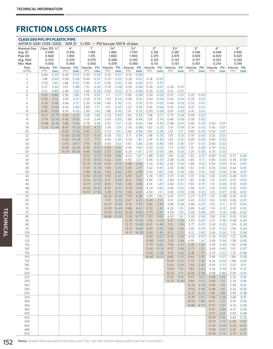#### CLASS 200 PVC IPS PLASTIC PIPE ASTM D-2241 (1120, 1220) SDR 21 C=150 • PSI loss per 100 ft. of pipe Nominal Size Avg. ID Pipe OD Avg. Wall Min. Wall Class 315: ½" 0.696 0.840 0.072 0.062  $3/4"$ 0.910 1.050 0.070 0.060 1" 1.169 1.315 0.073 0.063 1¼" 1.482 1.660 0.089 0.079 1½" 1.700 1.900 0.100 0.090  $2"$ 2.129 2.375 0.123 0.113  $2<sup>1</sup>$ 2.581 2.875 0.147 0.137 3" 3.146 3.500 0.177 0.167 4" 4.046 4.500 0.227 0.214 6" 5.955 6.625 0.335 0.316 Flow (GPM) Velocity PSI FPS Loss Velocity FPS PSI Loss Velocity PSI FPS Loss Velocity PSI FPS Loss Velocity FPS PSI Loss Velocity PSI FPS Loss Velocity PSI FPS Loss Velocity PSI FPS Loss Velocity PSI FPS Loss Velocity PSI FPS Loss 1 0.84 0.25 0.49 0.07 0.30 0.02 0.19 0.01 0.14 0.00 2 1.68 0.90 0.99 0.24 0.60 0.07 0.37 0.02 0.28 0.01 0.18 0.00 3 2.53 1.90 1.48 0.52 0.90 0.15 0.56 0.05 0.42 0.02 0.27 0.01 4 3.37 3.24 1.97 0.88 1.19 0.26 0.74 0.08 0.56 0.04 0.36 0.01 0.24 0.01 5 4.21 4.89 2.46 1.33 1.49 0.39 0.93 0.12 0.71 0.06 0.45 0.02 0.31 0.01 6 5.05 6.86 2.96 1.86 1.79 0.55 1.11 0.17 0.85 0.09 0.54 0.03 0.37 0.01 0.25 0.00 7 5.90 9.12 3.45 2.47 2.09 0.73 1.30 0.23 0.99 0.12 0.63 0.04 0.43 0.02 0.29 0.01 8 6.74 11.68 3.94 3.17 2.39 0.94 1.49 0.30 1.13 0.15 0.72 0.05 0.49 0.02 0.33 0.01 9 7.58 14.53 4.43 3.94 2.69 1.17 1.67 0.37 1.27 0.19 0.81 0.06 0.55 0.02 0.37 0.01 10 8.42 17.66 4.93 4.79 2.99 1.42 1.86 0.45 1.41 0.23 0.90 0.08 0.61 0.03 0.41 0.01 12 10.11 24.75 5.91 6.71 3.58 1.98 2.23 0.63 1.69 0.32 1.08 0.11 0.73 0.04 0.49 0.02 14 11.79 32.93 6.90 8.93 4.18 2.64 2.60 0.83 1.98 0.43 1.26 0.14 0.86 0.06 0.58 0.02 16 13.48 42.16 7.88 11.44 4.78 3.38 2.97 1.07 2.26 0.55 1.44 0.18 0.98 0.07 0.66 0.03 0.40 0.01 18 15.16 52.44 8.87 14.23 5.37 4.21 3.34 1.33 2.54 0.68 1.62 0.23 1.10 0.09 0.74 0.03 0.45 0.01 20 9.85 17.29 5.97 5.11 3.72 1.61 2.82 0.83 1.80 0.28 1.22 0.11 0.82 0.04 0.50 0.01 22 10.84 20.63 6.57 6.10 4.09 1.92 3.11 0.99 1.98 0.33 1.35 0.13 0.91 0.05 0.55 0.01 24 11.82 24.24 7.17 7.17 4.46 2.26 3.39 1.16 2.16 0.39 1.47 0.15 0.99 0.06 0.60 0.02 26 12.81 28.11 7.76 8.31 4.83 2.62 3.67 1.34 2.34 0.45 1.59 0.18 1.07 0.07 0.65 0.02 28 13.80 32.25 8.36 9.53 5.20 3.01 3.95 1.54 2.52 0.52 1.71 0.20 1.15 0.08 0.70 0.02 30 14.78 36.64 8.96 10.83 5.57 3.41 4.24 1.75 2.70 0.59 1.84 0.23 1.24 0.09 0.75 0.03 32 9.55 12.21 5.94 3.85 4.52 1.97 2.88 0.66 1.96 0.26 1.32 0.10 0.80 0.03 0.37 0.00 34 10.15 13.66 6.32 4.31 4.80 2.21 3.06 0.74 2.08 0.29 1.40 0.11 0.85 0.03 0.39 0.00 36 10.75 15.18 6.69 4.79 5.08 2.45 3.24 0.82 2.20 0.32 1.48 0.12 0.90 0.04 0.41 0.01 38 11.35 16.78 7.06 5.29 5.36 2.71 3.42 0.91 2.33 0.36 1.57 0.14 0.95 0.04 0.44 0.01 40 11.94 18.45 7.43 5.82 5.65 2.98 3.60 1.00 2.45 0.39 1.65 0.15 1.00 0.04 0.46 0.01 42 12.54 20.20 7.80 6.37 5.93 3.27 3.78 1.09 2.57 0.43 1.73 0.16 1.05 0.05 0.48 0.01 44 13.14 22.02 8.17 6.94 6.21 3.56 3.96 1.19 2.69 0.47 1.81 0.18 1.10 0.05 0.51 0.01 46 13.73 23.91 8.55 7.54 6.49 3.86 4.14 1.29 2.82 0.51 1.90 0.19 1.15 0.06 0.53 0.01 48 14.33 25.87 8.92 8.15 6.78 4.18 4.32 1.40 2.94 0.55 1.98 0.21 1.20 0.06 0.55 0.01 50 14.93 27.90 9.29 8.79 7.06 4.51 4.50 1.51 3.06 0.59 2.06 0.23 1.25 0.07 0.58 0.01 55 10.22 10.49 7.76 5.38 4.95 1.80 3.37 0.71 2.27 0.27 1.37 0.08 0.63 0.01 60 11.15 12.33 8.47 6.32 5.40 2.11 3.67 0.83 2.47 0.32 1.50 0.09 0.69 0.01 65 12.07 14.30 9.18 7.33 5.85 2.45 3.98 0.96 2.68 0.37 1.62 0.11 0.75 0.02 70 13.00 16.40 9.88 8.41 6.30 2.81 4.29 1.10 2.89 0.42 1.74 0.12 0.81 0.02 75 13.93 18.63 10.59 9.56 6.75 3.20 4.59 1.25 3.09 0.48 1.87 0.14 0.86 0.02 80 14.86 21.00 11.29 10.77 7.20 3.60 4.90 1.41 3.30 0.54 1.99 0.16 0.92 0.02 85 12.00 12.05 7.65 4.03 5.21 1.58 3.50 0.60 2.12 0.18 0.98 0.03 90 12.71 13.40 8.10 4.48 5.51 1.76 3.71 0.67 2.24 0.20 1.04 0.03 95 13.41 14.81 8.55 4.95 5.82 1.94 3.92 0.74 2.37 0.22 1.09 0.03 100 14.12 16.28 9.00 5.45 6.12 2.13 4.12 0.81 2.49 0.24 1.15 0.04 110 9.90 6.50 6.74 2.55 4.53 0.97 2.74 0.29 1.27 0.04 120 10.80 7.63 7.35 2.99 4.95 1.14 2.99 0.34 1.38 0.05 130 11.70 8.85 7.96 3.47 5.36 1.32 3.24 0.39 1.50 0.06 140 12.60 10.16 8.57 3.98 5.77 1.52 3.49 0.45 1.61 0.07 150 13.50 11.54 9.19 4.52 6.18 1.73 3.74 0.51 1.73 0.08 160 14.40 13.01 9.80 5.10 6.60 1.95 3.99 0.57 1.84 0.09 170 10.41 5.70 7.01 2.18 4.24 0.64 1.96 0.10 180 11.02 6.34 7.42 2.42 4.49 0.71 2.07 0.11 190 11.64 7.01 7.83 2.67 4.74 0.79 2.19 0.12 200 12.25 7.71 8.24 2.94 4.98 0.86 2.30 0.13 220 13.47 9.19 9.07 3.51 5.48 1.03 2.53 0.16 240 14.70 10.80 9.89 4.12 5.98 1.21 2.76 0.18 260 10.72 4.78 6.48 1.41 2.99 0.21 280 11.54 5.48 6.98 1.61 3.22 0.25 300 12.37 6.23 7.48 1.83 3.45 0.28 320 13.19 7.02 7.98 2.06 3.68 0.31 340 14.02 7.86 8.47 2.31 3.91 0.35 360 14.84 8.73 8.97 2.57 4.14 0.39 380 9.47 2.84 4.37 0.43 400 9.97 3.12 4.60 0.48 420 10.47 3.42 4.83 0.52 440 10.97 3.72 5.06 0.57 460 11.46 4.04 5.29 0.62 480 11.96 4.37 5.52 0.67 500 12.46 4.72 5.75 0.72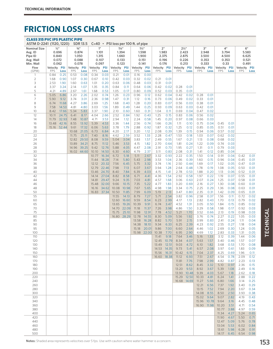| <b>CLASS 315 PVC IPS PLASTIC PIPE</b><br>ASTM D-2241 (1120, 1220)   |                          |                         |                            | <b>SDR 13.5</b>         |                        |                               | $C=40$ • PSI loss per 100 ft. of pipe |                                             |                                                      |                |                            |                               |                                                      |              |                                        |              |                        |                                       |                                        |              |
|---------------------------------------------------------------------|--------------------------|-------------------------|----------------------------|-------------------------|------------------------|-------------------------------|---------------------------------------|---------------------------------------------|------------------------------------------------------|----------------|----------------------------|-------------------------------|------------------------------------------------------|--------------|----------------------------------------|--------------|------------------------|---------------------------------------|----------------------------------------|--------------|
| <b>Nominal Size</b><br>Avg. ID<br>Pipe ID<br>Avg. Wall<br>Min. Wall | $\frac{1}{2}$ "<br>0.840 | 0.696<br>0.072<br>0.062 | $\frac{3}{4}$ "<br>0.088   | 0.874<br>1.050<br>0.078 | 1.101                  | 1"<br>1.315<br>0.107<br>0.097 | 1.660                                 | $1\frac{1}{4}$ "<br>1.394<br>0.133<br>0.123 | $1\frac{1}{2}$ "<br>1.598<br>1.900<br>0.151<br>0.141 |                | 1.983                      | 2"<br>2.375<br>0.196<br>0.176 | $2\frac{1}{2}$ "<br>2.423<br>2.875<br>0.226<br>0.213 |              | З"<br>2.948<br>3.500<br>0.353<br>0.333 |              |                        | 4"<br>3.794<br>4.500<br>0.353<br>0.33 | 6"<br>5.583<br>6.625<br>0.521<br>0.491 |              |
| Flow<br>(GPM)                                                       | Velocity<br><b>FPS</b>   | PSI<br>Loss             | Velocity PSI<br><b>FPS</b> | Loss                    | Velocity<br><b>FPS</b> | PSI<br>Loss                   | Velocity<br><b>FPS</b>                | <b>PSI</b><br>Loss                          | Velocity PSI<br><b>FPS</b>                           | Loss           | Velocity PSI<br><b>FPS</b> | Loss                          | Velocity PSI<br><b>FPS</b>                           | Loss         | Velocity PSI<br>FPS                    | Loss         | Velocity<br><b>FPS</b> | <b>PSI</b><br>Loss                    | Velocity PSI<br><b>FPS</b>             | Loss         |
| 1                                                                   | 0.84                     | 0.25                    | 0.53                       | 0.08                    | 0.34                   | 0.03                          | 0.21                                  | 0.01                                        | 0.16                                                 | 0.00           |                            |                               |                                                      |              |                                        |              |                        |                                       |                                        |              |
| $\overline{2}$                                                      | 1.68                     | 0.90                    | 1.07                       | 0.30                    | 0.67                   | 0.10                          | 0.42                                  | 0.03                                        | 0.32                                                 | 0.02           | 0.21                       | 0.01                          |                                                      |              |                                        |              |                        |                                       |                                        |              |
| 3                                                                   | 2.53                     | 1.90                    | 1.60                       | 0.63                    | 1.01                   | 0.20                          | 0.63                                  | 0.06                                        | 0.48                                                 | 0.03           | 0.31                       | 0.01                          |                                                      |              |                                        |              |                        |                                       |                                        |              |
| 4<br>5                                                              | 3.37<br>4.21             | 3.24<br>4.89            | 2.14<br>2.67               | 1.07<br>1.61            | 1.35<br>1.68           | 0.35<br>0.53                  | 0.84<br>1.05                          | 0.11<br>0.17                                | 0.64<br>0.80                                         | 0.06<br>0.09   | 0.42<br>0.52               | 0.02<br>0.03                  | 0.28<br>0.35                                         | 0.01<br>0.01 |                                        |              |                        |                                       |                                        |              |
| 6                                                                   | 5.05                     | 6.86                    | 3.20                       | 2.26                    | 2.02                   | 0.74                          | 1.26                                  | 0.23                                        | 0.96                                                 | 0.12           | 0.62                       | 0.04                          | 0.42                                                 | 0.02         | 0.28                                   | 0.01         |                        |                                       |                                        |              |
| 7                                                                   | 5.90                     | 9.12                    | 3.74                       | 3.01                    | 2.36                   | 0.98                          | 1.47                                  | 0.31                                        | 1.12                                                 | 0.16           | 0.73                       | 0.06                          | 0.49                                                 | 0.02         | 0.33                                   | 0.01         |                        |                                       |                                        |              |
| 8                                                                   | 6.74                     | 11.68                   | 4.27                       | 3.86                    | 2.69                   | 1.25                          | 1.68                                  | 0.40                                        | 1.28                                                 | 0.20           | 0.83                       | 0.07                          | 0.56                                                 | 0.03         | 0.38                                   | 0.01         |                        |                                       |                                        |              |
| 9<br>10                                                             | 7.58<br>8.42             | 14.53<br>17.66          | 4.81<br>5.34               | 4.80<br>5.83            | 3.03<br>3.37           | 1.56<br>1.90                  | 1.89<br>2.10                          | 0.49<br>0.60                                | 1.44<br>1.60                                         | 0.25<br>0.31   | 0.93<br>1.04               | 0.09<br>0.11                  | 0.63<br>0.69                                         | 0.03<br>0.04 | 0.42<br>0.47                           | 0.01<br>0.02 |                        |                                       |                                        |              |
| 12                                                                  | 10.11                    | 24.75                   | 6.41                       | 8.17                    | 4.04                   | 2.66                          | 2.52                                  | 0.84                                        | 1.92                                                 | 0.43           | 1.25                       | 0.15                          | 0.83                                                 | 0.06         | 0.56                                   | 0.02         |                        |                                       |                                        |              |
| 14                                                                  | 11.79                    | 32.93                   | 7.48                       | 10.87                   | 4.71                   | 3.53                          | 2.94                                  | 1.12                                        | 2.24                                                 | 0.58           | 1.45                       | 0.20                          | 0.97                                                 | 0.08         | 0.66                                   | 0.03         |                        |                                       |                                        |              |
| 16                                                                  | 13.48                    | 42.16                   | 8.55                       | 13.92                   | 5.39                   | 4.53                          | 3.36                                  | 1.44                                        | 2.56                                                 | 0.74           | 1.66                       | 0.26                          | 1.11                                                 | 0.10         | 0.75                                   | 0.04         | 0.45                   | 0.01                                  |                                        |              |
| 18<br>20                                                            | 15.16                    | 52.44                   | 9.61<br>10.68              | 17.32<br>21.05          | 6.06<br>6.73           | 5.63<br>6.84                  | 3.78<br>4.20                          | 1.79<br>2.17                                | 2.88<br>3.20                                         | 0.92<br>1.12   | 1.87<br>2.08               | 0.32<br>0.39                  | 1.25<br>1.39                                         | 0.12<br>0.15 | 0.85<br>0.94                           | 0.05<br>0.06 | 0.51<br>0.57           | 0.01<br>0.02                          |                                        |              |
| 22                                                                  |                          |                         | 11.75                      | 25.11                   | 7.40                   | 8.16                          | 4.62                                  | 2.59                                        | 3.52                                                 | 1.33           | 2.28                       | 0.47                          | 1.53                                                 | 0.18         | 1.03                                   | 0.07         | 0.62                   | 0.02                                  |                                        |              |
| 24                                                                  |                          |                         | 12.82                      | 29.50                   | 8.08                   | 9.59                          | 5.04                                  | 3.04                                        | 3.83                                                 | 1.57           | 2.49                       | 0.55                          | 1.67                                                 | 0.21         | 1.13                                   | 0.08         | 0.68                   | 0.02                                  |                                        |              |
| 26                                                                  |                          |                         | 13.89                      | 34.21                   | 8.75                   | 11.12                         | 5.46                                  | 3.53                                        | 4.15                                                 | 1.82           | 2.70                       | 0.64                          | 1.81                                                 | 0.24         | 1.22                                   | 0.09         | 0.74                   | 0.03                                  |                                        |              |
| 28<br>30                                                            |                          |                         | 14.96                      | 39.25<br>16.02 44.60    | 9.42<br>10.10          | 12.76<br>14.50                | 5.88<br>6.30                          | 4.05<br>4.60                                | 4.47<br>4.79                                         | 2.08<br>2.37   | 2.91<br>3.11               | 0.73<br>0.83                  | 1.95<br>2.08                                         | 0.27<br>0.31 | 1.31<br>1.41                           | 0.11<br>0.12 | 0.79<br>0.85           | 0.03<br>0.04                          |                                        |              |
| 32                                                                  |                          |                         |                            |                         | 10.77                  | 16.34                         | 6.72                                  | 5.18                                        | 5.11                                                 | 2.67           | 3.32                       | 0.93                          | 2.22                                                 | 0.35         | 1.50                                   | 0.14         | 0.91                   | 0.04                                  | 0.42                                   | 0.01         |
| 34                                                                  |                          |                         |                            |                         | 11.44                  | 18.28                         | 7.14                                  | 5.80                                        | 5.43                                                 | 2.98           | 3.53                       | 1.04                          | 2.36                                                 | 0.39         | 1.60                                   | 0.15         | 0.96                   | 0.04                                  | 0.45                                   | 0.01         |
| 36                                                                  |                          |                         |                            |                         | 12.12                  | 20.32                         | 7.56                                  | 6.45                                        | 5.75                                                 | 3.32           | 3.74                       | 1.16                          | 2.50                                                 | 0.44         | 1.69                                   | 0.17         | 1.02                   | 0.05                                  | 0.47                                   | 0.01         |
| 38<br>40                                                            |                          |                         |                            |                         | 12.79<br>13.46         | 22.46<br>24.70                | 7.98<br>8.40                          | 7.13<br>7.84                                | 6.07<br>6.39                                         | 3.67<br>4.03   | 3.94<br>4.15               | 1.28<br>1.41                  | 2.64<br>2.78                                         | 0.48<br>0.53 | 1.78<br>1.88                           | 0.19<br>0.20 | 1.08<br>1.13           | 0.05<br>0.06                          | 0.50<br>0.52                           | 0.01<br>0.01 |
| 42                                                                  |                          |                         |                            |                         | 14.14                  | 27.04                         | 8.82                                  | 8.58                                        | 6.71                                                 | 4.41           | 4.36                       | 1.54                          | 2.92                                                 | 0.58         | 1.97                                   | 0.22         | 1.19                   | 0.07                                  | 0.55                                   | 0.01         |
| 44                                                                  |                          |                         |                            |                         | 14.81                  | 29.47                         | 9.24                                  | 9.35                                        | 7.03                                                 | 4.81           | 4.57                       | 1.68                          | 3.06                                                 | 0.63         | 2.07                                   | 0.24         | 1.25                   | 0.07                                  | 0.58                                   | 0.01         |
| 46                                                                  |                          |                         |                            |                         | 15.48                  | 32.00                         | 9.66                                  | 10.15                                       | 7.35                                                 | 5.22           | 4.77                       | 1.83                          | 3.20                                                 | 0.69         | 2.16                                   | 0.27         | 1.30                   | 0.08                                  | 0.60                                   | 0.01         |
| 48<br>50                                                            |                          |                         |                            |                         | 16.16<br>16.83         | 34.62<br>37.34                | 10.08<br>10.50                        | 10.98<br>11.85                              | 7.67<br>7.99                                         | 5.65<br>6.09   | 4.98<br>5.19               | 1.98<br>2.13                  | 3.34<br>3.47                                         | 0.75<br>0.80 | 2.25<br>2.35                           | 0.29<br>0.31 | 1.36<br>1.42           | 0.08<br>0.09                          | 0.63<br>0.65                           | 0.01<br>0.01 |
| 55                                                                  |                          |                         |                            |                         |                        |                               | 11.55                                 | 14.13                                       | 8.79                                                 | 7.27           | 5.71                       | 2.54                          | 3.82                                                 | 0.96         | 2.58                                   | 0.37         | 1.56                   | 0.11                                  | 0.72                                   | 0.02         |
| 60                                                                  |                          |                         |                            |                         |                        |                               | 12.60                                 | 16.60                                       | 9.59                                                 | 8.54           | 6.23                       | 2.99                          | 4.17                                                 | 1.13         | 2.82                                   | 0.43         | 1.70                   | 0.13                                  | 0.79                                   | 0.02         |
| 65                                                                  |                          |                         |                            |                         |                        |                               | 13.65                                 | 19.26                                       | 10.39                                                | 9.91           | 6.74                       | 3.47                          | 4.52                                                 | 1.31         | 3.05                                   | 0.50         | 1.84                   | 0.15                                  | 0.85                                   | 0.02         |
| 70<br>75                                                            |                          |                         |                            |                         |                        |                               | 14.70<br>15.75                        | 22.09<br>25.10                              | 11.18<br>11.98                                       | 11.37<br>12.91 | 7.26<br>7.78               | 3.98<br>4.52                  | 4.86<br>5.21                                         | 1.50<br>1.70 | 3.29<br>3.52                           | 0.58<br>0.66 | 1.98<br>2.13           | 0.17<br>0.19                          | 0.92<br>0.98                           | 0.03<br>0.03 |
| 80                                                                  |                          |                         |                            |                         |                        |                               | 16.80                                 | 28.29                                       | 12.78                                                | 14.55          | 8.30                       | 5.09                          | 5.56                                                 | 1.92         | 3.76                                   | 0.74         | 2.27                   | 0.22                                  | 1.05                                   | 0.03         |
| 85                                                                  |                          |                         |                            |                         |                        |                               |                                       |                                             | 13.58                                                | 16.28          | 8.82                       | 5.70                          | 5.91                                                 | 2.15         | 3.99                                   | 0.83         | 2.41                   | 0.24                                  | 1.11                                   | 0.04         |
| 90<br>95                                                            |                          |                         |                            |                         |                        |                               |                                       |                                             | 14.38                                                | 18.10          | 9.34                       | 6.33                          | 6.25<br>6.60                                         | 2.39         | 4.23<br>4.46                           | 0.92<br>1.02 | 2.55                   | 0.27                                  | 1.18                                   | 0.04<br>0.05 |
| 100                                                                 |                          |                         |                            |                         |                        |                               |                                       |                                             | 15.18<br>15.98 22.00                                 | 20.01          | 9.86<br>10.38              | 7.00<br>7.70                  | 6.95                                                 | 2.64<br>2.90 | 4.69                                   | 1.12         | 2.69<br>2.83           | 0.30<br>0.33                          | 1.24<br>1.31                           | 0.05         |
| 110                                                                 |                          |                         |                            |                         |                        |                               |                                       |                                             |                                                      |                | 11.41                      | 9.18                          | 7.64                                                 | 3.46         | 5.16                                   | 1.33         | 3.12                   | 0.39                                  | 1.44                                   | 0.06         |
| 120                                                                 |                          |                         |                            |                         |                        |                               |                                       |                                             |                                                      |                |                            | 12.45 10.79                   | 8.34                                                 | 4.07         | 5.63                                   | 1.57         | 3.40                   | 0.46                                  | 1.57                                   | 0.07         |
| 130<br>140                                                          |                          |                         |                            |                         |                        |                               |                                       |                                             |                                                      |                | 13.49<br>14.53             | 12.51<br>14.35                | 9.03<br>9.73                                         | 4.72<br>5.41 | 6.10<br>6.57                           | 1.82<br>2.08 | 3.68<br>3.97           | 0.53<br>0.61                          | 1.70<br>1.83                           | 0.08<br>0.09 |
| 150                                                                 |                          |                         |                            |                         |                        |                               |                                       |                                             |                                                      |                |                            | 15.56 16.31                   | 10.42                                                | 6.15         | 7.04                                   | 2.37         | 4.25                   | 0.69                                  | 1.96                                   | 0.11         |
| 160                                                                 |                          |                         |                            |                         |                        |                               |                                       |                                             |                                                      |                | 16.60 18.38                |                               | 11.12                                                | 6.93         | 7.51                                   | 2.67         | 4.54                   | 0.78                                  | 2.09                                   | 0.12         |
| 170                                                                 |                          |                         |                            |                         |                        |                               |                                       |                                             |                                                      |                |                            |                               | 11.81                                                | 7.76         | 7.98                                   | 2.99         | 4.82                   | 0.87                                  | 2.23                                   | 0.13         |
| 180<br>190                                                          |                          |                         |                            |                         |                        |                               |                                       |                                             |                                                      |                |                            |                               | 12.51<br>13.20                                       | 8.62<br>9.53 | 8.45<br>8.92                           | 3.32<br>3.67 | 5.10<br>5.39           | 0.97<br>1.08                          | 2.36<br>2.49                           | 0.15<br>0.16 |
| 200                                                                 |                          |                         |                            |                         |                        |                               |                                       |                                             |                                                      |                |                            |                               | 13.90 10.48                                          |              | 9.39                                   | 4.03         | 5.67                   | 1.18                                  | 2.62                                   | 0.18         |
| 220                                                                 |                          |                         |                            |                         |                        |                               |                                       |                                             |                                                      |                |                            |                               | 15.29 12.50                                          |              | 10.33                                  | 4.81         | 6.24                   | 1.41                                  | 2.88                                   | 0.22         |
| 240                                                                 |                          |                         |                            |                         |                        |                               |                                       |                                             |                                                      |                |                            |                               | 16.68 14.69                                          |              | 11.27                                  | 5.66         | 6.80                   | 1.66                                  | 3.14                                   | 0.25         |
| 260<br>280                                                          |                          |                         |                            |                         |                        |                               |                                       |                                             |                                                      |                |                            |                               |                                                      |              | 12.21<br>13.15                         | 6.56<br>7.52 | 7.37<br>7.94           | 1.92<br>2.20                          | 3.40<br>3.67                           | 0.29<br>0.34 |
| 300                                                                 |                          |                         |                            |                         |                        |                               |                                       |                                             |                                                      |                |                            |                               |                                                      |              | 14.08                                  | 8.55         | 8.50                   | 2.50                                  | 3.93                                   | 0.38         |
| 320                                                                 |                          |                         |                            |                         |                        |                               |                                       |                                             |                                                      |                |                            |                               |                                                      |              | 15.02                                  | 9.64         | 9.07                   | 2.82                                  | 4.19                                   | 0.43         |
| 340                                                                 |                          |                         |                            |                         |                        |                               |                                       |                                             |                                                      |                |                            |                               |                                                      |              | 15.96                                  | 10.78        | 9.64                   | 3.16                                  | 4.45                                   | 0.48         |
| 360<br>380                                                          |                          |                         |                            |                         |                        |                               |                                       |                                             |                                                      |                |                            |                               |                                                      |              | 16.90 11.98                            |              | 10.20<br>10.77         | 3.51<br>3.88                          | 4.71<br>4.97                           | 0.54<br>0.59 |
| 400                                                                 |                          |                         |                            |                         |                        |                               |                                       |                                             |                                                      |                |                            |                               |                                                      |              |                                        |              | 11.34                  | 4.27                                  | 5.24                                   | 0.65         |
| 420                                                                 |                          |                         |                            |                         |                        |                               |                                       |                                             |                                                      |                |                            |                               |                                                      |              |                                        |              | 11.90                  | 4.67                                  | 5.50                                   | 0.71         |
| 440                                                                 |                          |                         |                            |                         |                        |                               |                                       |                                             |                                                      |                |                            |                               |                                                      |              |                                        |              | 12.47                  | 5.09                                  | 5.76                                   | 0.78         |
| 460<br>480                                                          |                          |                         |                            |                         |                        |                               |                                       |                                             |                                                      |                |                            |                               |                                                      |              |                                        |              | 13.04                  | 5.53<br>13.61 5.98                    | 6.02<br>6.28                           | 0.84<br>0.91 |
| 500                                                                 |                          |                         |                            |                         |                        |                               |                                       |                                             |                                                      |                |                            |                               |                                                      |              |                                        |              | 14.17                  | 6.45                                  | 6.54                                   | 0.98         |

TECHNICAL

**TECHNICAL**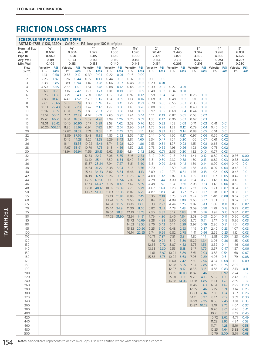#### SCHEDULE 40 PVC IPS PLASTIC PIPE ASTM D-1785 (1120, 1220) C=150 • PSI loss per 100 ft. of pipe Nominal Size Avg. ID Pipe ID Avg. Wall Min. Wall  $1/2"$ 0.602 0.840 0.119 0.109  $3/4"$ 0.804 1.050 0.123 0.113 1" 1.029 1.315 0.143 0.133 1¼" 1.360 1.660 0.150 0.140 1½" 1.590 1.900 0.155 0.145  $2"$ 20.47 2.375 0.164 0.154  $2<sup>1</sup>$ 2.445 2.875 0.215 0.203 3" 3.042 3.500 0.229 0.216 4" 3.998 4.500 0.251 0.237 5" 6.031 6.625 0.297 0.280 Flow (GPM) Velocity FPS PSI Loss Velocity FPS PSI Loss Velocity FPS PSI Loss Velocity FPS PSI Loss Velocity FPS PSI Loss Velocity PSI FPS Loss Velocity PSI FPS Loss Velocity PSI FPS Loss Velocity PSI FPS Loss Velocity PSI FPS Loss 1 1.13 0.50 0.63 0.12 0.39 0.04 0.22 0.01 0.16 0.00 2 2.25 1.82 1.26 0.44 0.77 0.13 0.44 0.03 0.32 0.02 0.19 0.00 3 3.38 3.85 1.89 0.94 1.16 0.28 0.66 0.07 0.48 0.03 0.29 0.01 4 4.50 6.55 2.52 1.60 1.54 0.48 0.88 0.12 0.65 0.06 0.39 0.02 0.27 0.01 5 5.63 9.91 3.16 2.42 1.93 0.73 1.10 0.19 0.81 0.09 0.49 0.03 0.34 0.01 6 6.75 13.89 3.79 3.40 2.31 1.02 1.32 0.26 0.97 0.12 0.58 0.04 0.41 0.02 0.26 0.01 7 7.88 18.48 4.42 4.52 2.70 1.36 1.54 0.35 1.13 0.16 0.68 0.05 0.48 0.02 0.31 0.01 8 9.01 23.66 5.05 5.79 3.08 1.74 1.76 0.45 1.29 0.21 0.78 0.06 0.55 0.03 0.35 0.01 9 10.13 29.43 5.68 7.20 3.47 2.17 1.99 0.56 1.45 0.26 0.88 0.08 0.61 0.03 0.40 0.01 10 11.26 35.77 6.31 8.75 3.85 2.63 2.21 0.68 1.61 0.32 0.97 0.09 0.68 0.04 0.44 0.01 12 13.51 50.14 7.57 12.27 4.62 3.69 2.65 0.95 1.94 0.44 1.17 0.13 0.82 0.05 0.53 0.02 14 15.76 66.71 8.84 16.32 5.39 4.91 3.09 1.26 2.26 0.59 1.36 0.17 0.96 0.07 0.62 0.03 16 18.01 85.42 10.10 20.90 6.17 6.29 3.53 1.62 2.58 0.76 1.56 0.22 1.09 0.09 0.71 0.03 0.41 0.01 18 20.26 106.24 11.36 25.99 6.94 7.82 3.97 2.01 2.90 0.94 1.75 0.28 1.23 0.12 0.79 0.04 0.46 0.01 20 12.62 31.59 7.71 9.51 4.41 2.45 3.23 1.14 1.95 0.33 1.36 0.14 0.88 0.05 0.51 0.01 22 13.89 37.69 8.48 11.35 4.85 2.92 3.55 1.37 2.14 0.40 1.50 0.17 0.97 0.06 0.56 0.02 24 15.15 44.28 9.25 13.33 5.29 3.43 3.87 1.60 2.34 0.47 1.64 0.20 1.06 0.07 0.61 0.02 26 16.41 51.36 10.02 15.46 5.74 3.98 4.20 1.86 2.53 0.54 1.77 0.23 1.15 0.08 0.66 0.02 28 17.67 58.91 10.79 17.73 6.18 4.56 4.52 2.13 2.73 0.62 1.91 0.26 1.23 0.09 0.71 0.02 30 18.94 66.94 11.56 20.15 6.62 5.19 4.84 2.42 2.92 0.71 2.05 0.30 1.32 0.10 0.77 0.03 32 12.33 22.71 7.06 5.85 5.16 2.73 3.12 0.80 2.18 0.34 1.41 0.12 0.82 0.03 0.36 0.00 34 13.10 25.41 7.50 6.54 5.49 3.06 3.31 0.89 2.32 0.38 1.50 0.13 0.87 0.03 0.38 0.00 36 13.87 28.24 7.94 7.27 5.81 3.40 3.51 0.99 2.46 0.42 1.59 0.14 0.92 0.04 0.40 0.01 38 14.64 31.22 8.38 8.04 6.13 3.76 3.70 1.10 2.59 0.46 1.68 0.16 0.97 0.04 0.43 0.01 40 15.41 34.33 8.82 8.84 6.46 4.13 3.89 1.21 2.73 0.51 1.76 0.18 1.02 0.05 0.45 0.01 42 16.18 37.58 9.26 9.67 6.78 4.52 4.09 1.32 2.87 0.56 1.85 0.19 1.07 0.05 0.47 0.01 44 16.95 40.96 9.71 10.54 7.10 4.93 4.28 1.44 3.00 0.61 1.94 0.21 1.12 0.06 0.49 0.01 46 17.73 44.47 10.15 11.45 7.42 5.35 4.48 1.57 3.14 0.66 2.03 0.23 1.17 0.06 0.52 0.01 48 18.50 48.12 10.59 12.39 7.75 5.79 4.67 1.69 3.28 0.71 2.12 0.25 1.23 0.07 0.54 0.01 50 19.27 51.90 11.03 13.36 8.07 6.25 4.87 1.83 3.41 0.77 2.20 0.27 1.28 0.07 0.56 0.01 55 12.13 15.94 8.88 7.45 5.36 2.18 3.75 0.92 2.42 0.32 1.40 0.08 0.62 0.01 60 13.24 18.72 9.68 8.75 5.84 2.56 4.09 1.08 2.65 0.37 1.53 0.10 0.67 0.01 65 14.34 21.72 10.49 10.15 6.33 2.97 4.44 1.25 2.87 0.43 1.66 0.11 0.73 0.02 70 15.44 24.91 11.30 11.65 6.82 3.41 4.78 1.43 3.09 0.50 1.79 0.13 0.79 0.02 75 16.54 28.31 12.10 13.23 7.30 3.87 5.12 1.63 3.31 0.56 1.91 0.15 0.84 0.02 80 17.65 31.90 12.91 14.91 7.79 4.36 5.46 1.84 3.53 0.63 2.04 0.17 0.90 0.02 85 13.72 16.69 8.28 4.88 5.80 2.06 3.75 0.71 2.17 0.19 0.95 0.03 90 14.52 18.55 8.76 5.43 6.14 2.29 3.97 0.79 2.30 0.21 1.01 0.03 95 15.33 20.50 9.25 6.00 6.48 2.53 4.19 0.87 2.42 0.23 1.07 0.03 100 16.14 22.55 9.74 6.59 6.82 2.78 4.41 0.96 2.55 0.25 1.12 0.03 110 10.71 7.87 7.51 3.31 4.85 1.14 2.81 0.30 1.23 0.04 120 11.68 9.24 8.19 3.89 5.29 1.34 3.06 0.36 1.35 0.05 130 12.66 10.72 8.87 4.52 5.73 1.56 3.32 0.41 1.46 0.06 140 13.63 12.30 9.55 5.18 6.17 1.79 3.57 0.47 1.57 0.06 150 14.61 13.97 10.24 5.89 6.61 2.03 3.83 0.54 1.68 0.07 160 15.58 15.75 10.92 6.63 7.05 2.29 4.08 0.61 1.79 0.08 170 11.60 7.42 7.50 2.56 4.34 0.68 1.91 0.09 180 12.28 8.25 7.94 2.85 4.59 0.75 2.02 0.10 190 12.97 9.12 8.38 3.15 4.85 0.83 2.13 0.11 200 13.65 10.03 8.82 3.46 5.11 0.92 2.24 0.12 220 15.01 11.96 9.70 4.13 5.62 1.09 2.47 0.15 240 16.38 14.06 10.58 4.85 6.13 1.28 2.69 0.17 260 11.46 5.63 6.64 1.49 2.92 0.20 280 12.35 6.46 7.15 1.71 3.14 0.23 300 13.23 7.34 7.66 1.94 3.37 0.26 320 14.11 8.27 8.17 2.19 3.59 0.30 340 14.99 9.25 8.68 2.45 3.81 0.33 360 15.87 10.29 9.19 2.72 4.04 0.37 380 9.70 3.01 4.26 0.41 400 10.21 3.31 4.49 0.45 420 10.72 3.62 4.71 0.49 440 11.23 3.95 4.94 0.53 460 11.74 4.28 5.16 0.58 480 12.25 4.64 5.38 0.63 500 12.76 5.00 5.61 0.68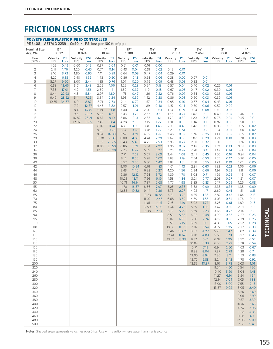| POLYETHYLENE PLASTIC PIPE ID CONTROLLED<br>PE 3408<br>ASTM D 2239 C=40 · PSI loss per 100 ft. of pipe |                    |                |                              |                |                    |                |                           |                |                           |                |               |              |                           |               |                |              |                |              |
|-------------------------------------------------------------------------------------------------------|--------------------|----------------|------------------------------|----------------|--------------------|----------------|---------------------------|----------------|---------------------------|----------------|---------------|--------------|---------------------------|---------------|----------------|--------------|----------------|--------------|
| <b>Nominal Size</b><br>Avg. Wall                                                                      | 1/2"<br>0.622      |                | $3/4$ <sup>11</sup><br>0.824 |                | 1"<br>10.49        |                | $1\frac{1}{4}$ "<br>1.380 |                | $1\frac{1}{2}$ "<br>1.610 |                | 2"<br>2.067   |              | $2\frac{1}{2}$ "<br>2.469 |               | 3"<br>3.068    |              | 4"<br>4.026    |              |
| Flow                                                                                                  | Velocity           | <b>PSI</b>     | Velocity                     | <b>PSI</b>     | Velocity           | <b>PSI</b>     | Velocity                  | <b>PSI</b>     | Velocity                  | <b>PSI</b>     | Velocity      | <b>PSI</b>   | Velocity                  | <b>PSI</b>    | Velocity       | <b>PSI</b>   | Velocity       | <b>PSI</b>   |
| (GPM)<br>1                                                                                            | <b>FPS</b><br>1.05 | Loss<br>0.49   | <b>FPS</b><br>0.60           | Loss<br>0.12   | <b>FPS</b><br>0.37 | Loss<br>0.04   | <b>FPS</b><br>0.21        | Loss<br>0.01   | <b>FPS</b><br>0.16        | Loss<br>0.00   | <b>FPS</b>    | Loss         | <b>FPS</b>                | Loss          | <b>FPS</b>     | Loss         | <b>FPS</b>     | Loss         |
| $\overline{2}$                                                                                        | 2.11               | 1.76           | 1.20                         | 0.45           | 0.74               | 0.14           | 0.43                      | 0.04           | 0.31                      | 0.02           | 0.19          | 0.01         |                           |               |                |              |                |              |
| 3                                                                                                     | 3.16               | 3.73           | 1.80                         | 0.95           | 1.11               | 0.29           | 0.64                      | 0.08           | 0.47                      | 0.04           | 0.29          | 0.01         |                           |               |                |              |                |              |
| 4<br>5                                                                                                | 4.22<br>5.27       | 6.35<br>9.60   | 2.40<br>3.00                 | 1.62<br>2.44   | 1.48<br>1.85       | 0.50<br>0.76   | 0.86<br>1.07              | 0.13<br>0.20   | 0.63<br>0.79              | 0.06<br>0.09   | 0.38<br>0.48  | 0.02<br>0.03 | 0.27<br>0.33              | 0.01<br>0.01  |                |              |                |              |
| 6                                                                                                     | 6.33               | 13.46          | 3.61                         | 3.43           | 2.22               | 1.06           | 1.29                      | 0.28           | 0.94                      | 0.13           | 0.57          | 0.04         | 0.40                      | 0.02          | 0.26           | 0.01         |                |              |
| 7                                                                                                     | 7.38               | 17.91          | 4.21                         | 4.56           | 2.60               | 1.41           | 1.50                      | 0.37           | 1.10                      | 0.18           | 0.67          | 0.05         | 0.47                      | 0.02          | 0.30           | 0.01         |                |              |
| 8<br>9                                                                                                | 8.44<br>9.49       | 22.93<br>28.52 | 4.81<br>5.41                 | 5.84<br>7.26   | 2.97<br>3.34       | 1.80<br>2.24   | 1.71<br>1.93              | 0.47<br>0.59   | 1.26<br>1.42              | 0.22<br>0.28   | 0.76<br>0.86  | 0.07<br>0.08 | 0.54<br>0.60              | 0.03<br>0.03  | 0.35<br>0.39   | 0.01<br>0.01 |                |              |
| 10                                                                                                    | 10.55              | 34.67          | 6.01                         | 8.82           | 3.71               | 2.73           | 2.14                      | 0.72           | 1.57                      | 0.34           | 0.95          | 0.10         | 0.67                      | 0.04          | 0.43           | 0.01         |                |              |
| 12                                                                                                    |                    |                | 7.21                         | 12.37          | 4.45               | 3.82           | 2.57                      | 1.01           | 1.89                      | 0.48           | 1.15          | 0.14         | 0.80                      | 0.06          | 0.52           | 0.02         |                |              |
| 14                                                                                                    |                    |                | 8.41                         | 16.45          | 5.19               | 5.08           | 3.00                      | 1.34           | 2.20                      | 0.63           | 1.34          | 0.19         | 0.94                      | 0.08          | 0.61           | 0.03         |                |              |
| 16<br>18                                                                                              |                    |                | 9.61<br>10.82                | 21.07<br>26.21 | 5.93<br>6.67       | 6.51<br>8.10   | 3.43<br>3.86              | 1.71<br>2.13   | 2.52<br>2.83              | 0.81<br>1.01   | 1.53<br>1.72  | 0.24<br>0.30 | 1.07<br>1.20              | 0.10<br>0.13  | 0.69<br>0.78   | 0.04<br>0.04 | 0.40<br>0.45   | 0.01<br>0.01 |
| 20                                                                                                    |                    |                | 12.02                        | 31.85          | 7.42               | 9.84           | 4.28                      | 2.59           | 3.15                      | 1.22           | 1.91          | 0.36         | 1.34                      | 0.15          | 0.87           | 0.05         | 0.50           | 0.01         |
| 22                                                                                                    |                    |                |                              |                | 8.16               | 11.74          | 4.71                      | 3.09           | 3.46                      | 1.46           | 2.10          | 0.43         | 1.47                      | 0.18          | 0.95           | 0.06         | 0.55           | 0.02         |
| 24<br>26                                                                                              |                    |                |                              |                | 8.90               | 13.79          | 5.14<br>5.57              | 3.63           | 3.78                      | 1.72<br>1.99   | 2.29<br>2.48  | 0.51<br>0.59 | 1.61                      | 0.21<br>0.25  | 1.04<br>1.13   | 0.07         | 0.60           | 0.02         |
| 28                                                                                                    |                    |                |                              |                | 9.64<br>10.38      | 16.00<br>18.35 | 6.00                      | 4.21<br>4.83   | 4.09<br>4.41              | 2.28           | 2.67          | 0.68         | 1.74<br>1.87              | 0.28          | 1.21           | 0.09<br>0.10 | 0.65<br>0.70   | 0.02<br>0.03 |
| 30                                                                                                    |                    |                |                              |                | 11.12              | 20.85          | 6.43                      | 5.49           | 4.72                      | 2.59           | 2.86          | 0.77         | 2.01                      | 0.32          | 1.30           | 0.11         | 0.76           | 0.03         |
| 32                                                                                                    |                    |                |                              |                | 11.86              | 23.50          | 6.86                      | 6.19           | 5.04                      | 2.92           | 3.06          | 0.87         | 2.14                      | 0.36          | 1.39           | 0.13         | 0.81           | 0.03         |
| 34<br>36                                                                                              |                    |                |                              |                | 12.61              | 26.29          | 7.28<br>7.71              | 6.92<br>7.69   | 5.35<br>5.67              | 3.27<br>3.63   | 3.25<br>3.44  | 0.97<br>1.08 | 2.28<br>2.41              | 0.41<br>0.45  | 1.47<br>1.56   | 0.14<br>0.16 | 0.86<br>0.91   | 0.04<br>0.04 |
| 38                                                                                                    |                    |                |                              |                |                    |                | 8.14                      | 8.50           | 5.98                      | 4.02           | 3.63          | 1.19         | 2.54                      | 0.50          | 1.65           | 0.17         | 0.96           | 0.05         |
| 40                                                                                                    |                    |                |                              |                |                    |                | 8.57                      | 9.35           | 6.30                      | 4.42           | 3.82          | 1.31         | 2.68                      | 0.55          | 1.73           | 0.19         | 1.01           | 0.05         |
| 42                                                                                                    |                    |                |                              |                |                    |                | 9.00                      | 10.24          | 6.61                      | 4.83           | 4.01          | 1.43         | 2.81                      | 0.60          | 1.82           | 0.21         | 1.06           | 0.06         |
| 44<br>46                                                                                              |                    |                |                              |                |                    |                | 9.43<br>9.86              | 11.16<br>12.12 | 6.93<br>7.24              | 5.27<br>5.72   | 4.20<br>4.39  | 1.56<br>1.70 | 2.94<br>3.08              | 0.66<br>0.71  | 1.91<br>1.99   | 0.23<br>0.25 | 1.11<br>1.16   | 0.06<br>0.07 |
| 48                                                                                                    |                    |                |                              |                |                    |                | 10.28                     | 13.11          | 7.56                      | 6.19           | 4.58          | 1.84         | 3.21                      | 0.77          | 2.08           | 0.27         | 1.21           | 0.07         |
| 50                                                                                                    |                    |                |                              |                |                    |                | 10.71                     | 14.14          | 7.87                      | 6.68           | 4.77          | 1.98         | 3.35                      | 0.83          | 2.17           | 0.29         | 1.26           | 0.08         |
| 55<br>60                                                                                              |                    |                |                              |                |                    |                | 11.78<br>12.85            | 16.87<br>19.82 | 8.66<br>9.44              | 7.97<br>9.36   | 5.25<br>5.73  | 2.36<br>2.77 | 3.68<br>4.02              | 0.99<br>1.17  | 2.38<br>2.60   | 0.35<br>0.41 | 1.38<br>1.51   | 0.09<br>0.11 |
| 65                                                                                                    |                    |                |                              |                |                    |                |                           |                | 10.23                     | 10.86          | 6.21          | 3.22         | 4.35                      | 1.36          | 2.82           | 0.47         | 1.64           | 0.13         |
| 70                                                                                                    |                    |                |                              |                |                    |                |                           |                | 11.02                     | 12.45          | 6.68          | 3.69         | 4.69                      | 1.55          | 3.03           | 0.54         | 1.76           | 0.14         |
| 75                                                                                                    |                    |                |                              |                |                    |                |                           |                | 11.81                     | 14.15          | 7.16          | 4.19         | 5.02                      | 1.77          | 3.25           | 0.61         | 1.89           | 0.16         |
| 80<br>85                                                                                              |                    |                |                              |                |                    |                |                           |                | 12.59<br>13.38            | 15.95<br>17.84 | 7.64<br>8.12  | 4.73<br>5.29 | 5.35<br>5.69              | 1.99<br>2.23  | 3.47<br>3.68   | 0.69<br>0.77 | 2.01<br>2.14   | 0.18<br>0.21 |
| 90                                                                                                    |                    |                |                              |                |                    |                |                           |                |                           |                | 8.59          | 5.88         | 6.02                      | 2.48          | 3.90           | 0.86         | 2.27           | 0.23         |
| 95                                                                                                    |                    |                |                              |                |                    |                |                           |                |                           |                | 9.07          | 6.50         | 6.36                      | 2.74          | 4.12           | 0.95         | 2.39           | 0.25         |
| 100<br>110                                                                                            |                    |                |                              |                |                    |                |                           |                |                           |                | 9.55<br>10.50 | 7.15<br>8.53 | 6.69<br>7.36              | 3.01<br>3.59  | 4.33<br>4.77   | 1.05<br>1.25 | 2.52<br>2.77   | 0.28<br>0.33 |
| 120                                                                                                   |                    |                |                              |                |                    |                |                           |                |                           |                | 11.46         | 10.02        | 8.03                      | 4.22          | 5.20           | 1.47         | 3.02           | 0.39         |
| 130                                                                                                   |                    |                |                              |                |                    |                |                           |                |                           |                | 12.41         | 11.62        | 8.70                      | 4.89          | 5.63           | 1.70         | 3.27           | 0.45         |
| 140                                                                                                   |                    |                |                              |                |                    |                |                           |                |                           |                | 13.37 13.33   |              | 9.37                      | 5.61          | 6.07           | 1.95         | 3.52           | 0.52         |
| 150<br>160                                                                                            |                    |                |                              |                |                    |                |                           |                |                           |                |               |              | 10.04<br>10.71            | 6.38<br>7.19  | 6.50<br>6.94   | 2.22<br>2.50 | 3.78<br>4.03   | 0.59<br>0.67 |
| 170                                                                                                   |                    |                |                              |                |                    |                |                           |                |                           |                |               |              | 11.38                     | 8.04          | 7.37           | 2.79         | 4.28           | 0.74         |
| 180                                                                                                   |                    |                |                              |                |                    |                |                           |                |                           |                |               |              | 12.05                     | 8.94          | 7.80           | 3.11         | 4.53           | 0.83         |
| 190<br>200                                                                                            |                    |                |                              |                |                    |                |                           |                |                           |                |               |              | 12.72<br>13.39            | 9.88<br>10.87 | 8.24<br>8.67   | 3.43<br>3.78 | 4.78<br>5.03   | 0.92<br>1.01 |
| 220                                                                                                   |                    |                |                              |                |                    |                |                           |                |                           |                |               |              |                           |               | 9.54           | 4.50         | 5.54           | 1.20         |
| 240                                                                                                   |                    |                |                              |                |                    |                |                           |                |                           |                |               |              |                           |               | 10.40          | 5.29         | 6.04           | 1.41         |
| 260                                                                                                   |                    |                |                              |                |                    |                |                           |                |                           |                |               |              |                           |               | 11.27          | 6.14         | 6.54           | 1.64         |
| 280<br>300                                                                                            |                    |                |                              |                |                    |                |                           |                |                           |                |               |              |                           |               | 12.14<br>13.00 | 7.04<br>8.00 | 7.05<br>7.55   | 1.88<br>2.13 |
| 320                                                                                                   |                    |                |                              |                |                    |                |                           |                |                           |                |               |              |                           |               | 13.87          | 9.02         | 8.05           | 2.40         |
| 340                                                                                                   |                    |                |                              |                |                    |                |                           |                |                           |                |               |              |                           |               |                |              | 8.56           | 2.69         |
| 360                                                                                                   |                    |                |                              |                |                    |                |                           |                |                           |                |               |              |                           |               |                |              | 9.06<br>9.57   | 2.99         |
| 380<br>400                                                                                            |                    |                |                              |                |                    |                |                           |                |                           |                |               |              |                           |               |                |              | 10.07          | 3.30<br>3.63 |
| 420                                                                                                   |                    |                |                              |                |                    |                |                           |                |                           |                |               |              |                           |               |                |              | 10.57          | 3.98         |
| 440                                                                                                   |                    |                |                              |                |                    |                |                           |                |                           |                |               |              |                           |               |                |              | 11.08          | 4.33         |
| 460<br>480                                                                                            |                    |                |                              |                |                    |                |                           |                |                           |                |               |              |                           |               |                |              | 11.58<br>12.08 | 4.71<br>5.09 |
| 500                                                                                                   |                    |                |                              |                |                    |                |                           |                |                           |                |               |              |                           |               |                |              | 12.59          | 5.49         |

Notes: Shaded area represents velocities over 5 fps. Use with caution where water hammer is a concern.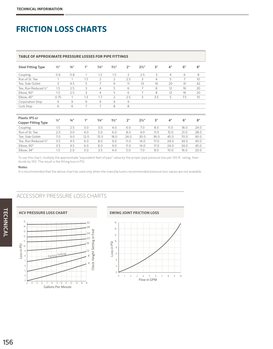#### **TABLE OF APPROXIMATE PRESSURE LOSSES FOR PIPE FITTINGS**

| 0.6<br>Coupling<br>Run of St. Tee<br>1<br>Tee, Side Outlet<br>3<br>1.5<br>Tee, Run Reduced ½"<br>Elbow, 90°<br>1.5 | 0.8<br>1<br>4.5     | 1<br>1.5        | 1.2              | 1.5              | 2               |                  |                |                |      |      |
|--------------------------------------------------------------------------------------------------------------------|---------------------|-----------------|------------------|------------------|-----------------|------------------|----------------|----------------|------|------|
|                                                                                                                    |                     |                 |                  |                  |                 | 2.5              | 3              | $\overline{4}$ | 6    | 8    |
|                                                                                                                    |                     |                 | $\overline{2}$   | $\overline{2}$   | 2.5             | 3                | $\overline{4}$ | 5              | 7    | 10   |
|                                                                                                                    |                     | 5               | $\overline{7}$   | 9                | 11              | 13               | 16             | 20             | 31   | 42   |
|                                                                                                                    | 2.5                 | 3               | $\overline{4}$   | 5                | 6               | $\overline{7}$   | 8              | 12             | 16   | 20   |
|                                                                                                                    | 2.5                 | 3               | $\overline{4}$   | 5                | 6               | 7                | 8              | 12             | 16   | 20   |
| Elbow, 45°<br>0.75                                                                                                 | $\mathbf{1}$        | 1.3             | 1.7              | $\overline{2}$   | 2.5             | 3                | 3.5            | 5              | 7.5  | 10   |
| 9<br>Corporation Stop                                                                                              | 9                   | 9               | 9                | 9                | 9               |                  |                |                |      |      |
| 6<br>Curb Stop                                                                                                     | 6                   | 7               | 7                | 8                | 8               |                  |                |                |      |      |
|                                                                                                                    |                     |                 |                  |                  |                 |                  |                |                |      |      |
| Plastic IPS or<br>$1/2$ <sup>11</sup>                                                                              | $3/4$ <sup>11</sup> | 1 <sup>II</sup> | $1\frac{1}{4}$ " | $1\frac{1}{2}$ " | 2 <sup>''</sup> | $2\frac{1}{2}$ " | 3"             | 4"             | 6"   | 8"   |
| <b>Copper Fitting Type</b>                                                                                         |                     |                 |                  |                  |                 |                  |                |                |      |      |
| 1.5<br>Coupling                                                                                                    | 2.5                 | 3.0             | 3.0              | 4.0              | 6.0             | 7.0              | 8.0            | 11.0           | 18.0 | 24.0 |
| Run of St. Tee<br>2.5                                                                                              | 3.0                 | 4.0             | 5.0              | 6.0              | 8.0             | 9.0              | 11.0           | 15.0           | 21.0 | 28.0 |
| Tee, Side Outlet<br>7.0                                                                                            | 9.0                 | 12.0            | 15.0             | 18.0             | 24.0            | 30.0             | 36.0           | 45.0           | 70.0 | 90.0 |
| Tee, Run Reduced 1/2"<br>3.5                                                                                       | 4.5                 | 6.0             | 8.0              | 9.0              | 11.0            | 14.0             | 17.0           | 24.0           | 34.0 | 45.0 |
| Elbow, 90°<br>3.5                                                                                                  | 4.5                 | 6.0             | 8.0              | 9.0              | 11.0            | 14.0             | 17.0           | 24.0           | 34.0 | 45.0 |
| Elbow, 34°<br>1.5                                                                                                  | 2.0                 | 3.0             | 3.5              | 4.0              | 5.0             | 7.0              | 8.0            | 10.0           | 16.0 | 20.0 |

To use this chart, multiply the approximate "equivalent feet of pipe" value by the proper pipe pressure loss per 100 ft. rating, then divide by 100. The result is the fitting loss in PSI.

#### Notes:

It is recommended that the above chart be used only when the manufacturers recommended pressure loss values are not available.

#### ACCESSORY PRESSURE LOSS CHARTS

![](_page_23_Figure_8.jpeg)

![](_page_23_Figure_9.jpeg)

#### **HCV PRESSURE LOSS CHART SWING JOINT FRICTION LOSS**  $16\,$  $\begin{array}{ccc} \text{loss in PSI} & \text{a} & \text{b} \\ \text{a} & \text{b} & \text{c} \\ \text{b} & \text{c} & \text{d} \end{array}$ 14 12 10 8 6 4 2  $\mathbf 0$ 0 1 2 3 4 5 6 7 8 9 10 Flow in GPM

TECHNICAL

**TECHNICAL**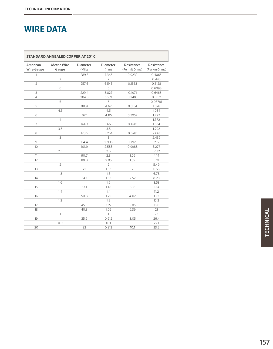### **WIRE DATA**

| <b>STANDARD ANNEALED COPPER AT 20° C</b> |                    |                 |                |                |               |  |
|------------------------------------------|--------------------|-----------------|----------------|----------------|---------------|--|
| American                                 | <b>Metric Wire</b> | <b>Diameter</b> | Diameter       | Resistance     | Resistance    |  |
| <b>Wire Gauge</b>                        | Gauge              | (Mils)          | (mm)           | (Per mft Ohms) | (Per km Ohms) |  |
| $\mathbf{1}$                             |                    | 289.3           | 7.348          | 0.9239         | 0.4065        |  |
|                                          | $\overline{7}$     |                 | $\overline{7}$ |                | 0.448         |  |
| $\overline{2}$                           |                    | 257.6           | 6.543          | 0.1563         | 0.5128        |  |
|                                          | 6                  |                 | 6              |                | 0.6098        |  |
| 3                                        |                    | 229.4           | 5.827          | 0.1971         | 0.6466        |  |
| 4                                        |                    | 204.3           | 5.189          | 0.2485         | 0.8152        |  |
|                                          | 5                  |                 | 5              |                | 0.08781       |  |
| 5                                        |                    | 181.9           | 4.62           | 0.3134         | 1.028         |  |
|                                          | 4.5                |                 | 4.5            |                | 1.084         |  |
| 6                                        |                    | 162             | 4.115          | 0.3952         | 1.297         |  |
|                                          | $\overline{4}$     |                 | $\overline{4}$ |                | 1.372         |  |
| 7                                        |                    | 144.3           | 3.665          | 0.4981         | 1.634         |  |
|                                          | 3.5                |                 | 3.5            |                | 1.792         |  |
| 8                                        |                    | 128.5           | 3.264          | 0.6281         | 2.061         |  |
|                                          | 3                  |                 | 3              |                | 2.439         |  |
| 9                                        |                    | 114.4           | 2.906          | 0.7925         | 2.6           |  |
| 10                                       |                    | 101.9           | 2.588          | 0.9988         | 3.277         |  |
|                                          | 2.5                |                 | 2.5            |                | 3.512         |  |
| 11                                       |                    | 90.7            | 2.3            | 1.26           | 4.14          |  |
| 12                                       |                    | 80.8            | 2.05           | 1.59           | 5.21          |  |
|                                          | $\overline{2}$     |                 | $\overline{2}$ |                | 5.49          |  |
| 13                                       |                    | 72              | 1.83           | $\overline{2}$ | 6.56          |  |
|                                          | 1.8                |                 | 1.8            |                | 6.78          |  |
| 14                                       |                    | 64.1            | 1.63           | 2.52           | 8.28          |  |
|                                          | 1.6                |                 | 1.6            |                | 8.58          |  |
| 15                                       |                    | 57.1            | 1.45           | 3.18           | 10.4          |  |
|                                          | 1.4                |                 | 1.4            |                | 11.2          |  |
| 16                                       |                    | 50.8            | 1.29           | 4.02           | 13.2          |  |
|                                          | 1.2                |                 | 1.2            |                | 15.2          |  |
| 17                                       |                    | 45.3            | 1.15           | 5.05           | 16.6          |  |
| 18                                       |                    | 40.3            | 1.02           | 6.39           | 21            |  |
|                                          | $\mathbf{1}$       |                 | $\mathbf{1}$   |                | 22            |  |
| 19                                       |                    | 35.9            | 0.912          | 8.05           | 26.4          |  |
|                                          | 0.9                |                 | 0.9            |                | 27.1          |  |
| 20                                       |                    | 32              | 0.813          | 10.1           | 33.2          |  |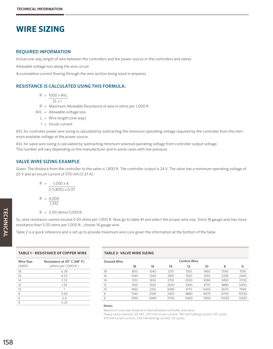### **WIRE SIZING**

#### REQUIRED INFORMATION

Actual one-way length of wire between the controllers and the power source or the controllers and valves

Allowable voltage loss along the wire circuit

Accumulative current flowing through the wire section being sized in amperes

#### RESISTANCE IS CALCULATED USING THIS FORMULA:

 $R = 1000 \times AVL$ 

- $2L \times I$
- R = Maximum Allowable Resistance of wire in ohms per 1,000 ft.
- AVL = Allowable voltage loss
	- $L =$  Wire length (one way)
	- $I =$  Inrush current

AVL for controller power wire sizing is calculated by subtracting the minimum operating voltage required by the controller from the minimum available voltage at the power source.

AVL for valve wire sizing is calculated by subtracting minimum solenoid operating voltage from controller output voltage. This number will vary depending on the manufacturer and in some cases with line pressure.

#### VALVE WIRE SIZING EXAMPLE

Given: The distance from the controller to the valve is 1,800 ft. The controller output is 24 V. The valve has a minimum operating voltage of 20 V and an inrush current of 370 mA (0.37 A).

$$
R = \frac{1,000 \times 4}{2(1,800) \times 0.37}
$$

$$
R = \frac{4,000}{1,332}
$$

 $R = 3.00$  ohms/1,000 ft.

So, wire resistance cannot exceed 3.00 ohms per 1,000 ft. Now go to table #1 and select the proper wire size. Since 18 gauge wire has more resistance than 3.00 ohms per 1,000 ft., choose 14 gauge wire.

Table 2 is a quick reference and is set up to provide maximum wire runs given the information at the bottom of the table.

| Wire Size | Resistance at 20° C (68° F) |
|-----------|-----------------------------|
| (AWG)     | (ohms per 1,000 ft.)        |
| 18        | 6.39                        |
| 16        | 4.02                        |
| 14        | 2.52                        |
| 12        | 1.59                        |
| 10        |                             |
| 8         | 0.63                        |
| 6         | 04                          |
| Δ         | 0.25                        |

#### **TABLE 2- VALVE WIRE SIZING**

| <b>Ground Wire</b> | <b>Control Wire</b> |      |      |      |      |       |       |  |
|--------------------|---------------------|------|------|------|------|-------|-------|--|
|                    | 18                  | 16   | 14   | 12   | 10   | 8     | 6     |  |
| 18                 | 850                 | 1040 | 1210 | 1350 | 1460 | 1540  | 1590  |  |
| 16                 | 1040                | 1340 | 1650 | 1920 | 2150 | 2330  | 2440  |  |
| 14                 | 1210                | 1650 | 2150 | 2630 | 3080 | 3450  | 3700  |  |
| 12                 | 1350                | 1920 | 2630 | 3390 | 4170 | 4880  | 5400  |  |
| 10                 | 1460                | 2150 | 3080 | 4170 | 5400 | 6670  | 7690  |  |
| 8                  | 1540                | 2330 | 3450 | 4880 | 6670 | 8700  | 10530 |  |
| 6                  | 1590                | 2440 | 3700 | 5400 | 7690 | 10530 | 13330 |  |

#### Notes:

Maximum one-way distance in feet between controller and valve

Heavy-duty solenoid: 24 VAC, 370 mA inrush current, 190 mA holding current, 60 cycles; 475 mA inrush current, 230 mA holding current, 50 cycles